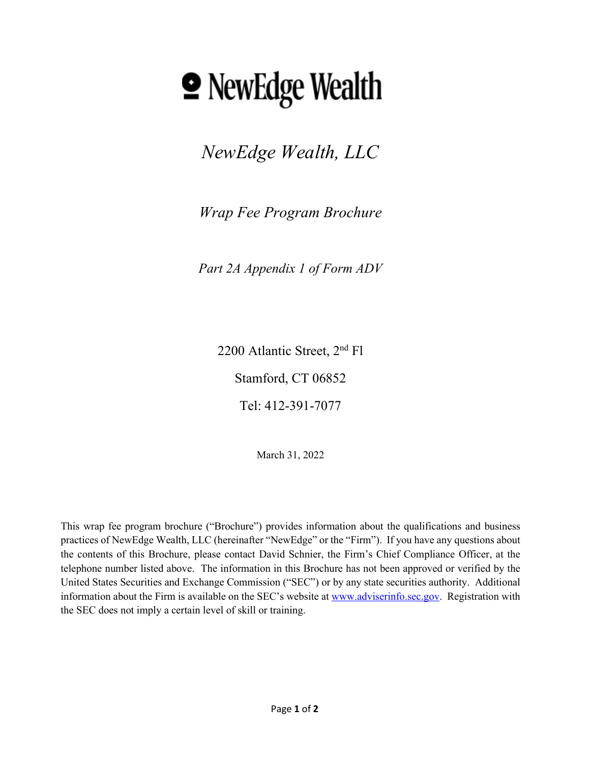# **<u></u> • NewEdge Wealth**

*NewEdge Wealth, LLC*

*Wrap Fee Program Brochure*

*Part 2A Appendix 1 of Form ADV* 

2200 Atlantic Street, 2nd Fl Stamford, CT 06852 Tel: 412-391-7077

March 31, 2022

This wrap fee program brochure ("Brochure") provides information about the qualifications and business practices of NewEdge Wealth, LLC (hereinafter "NewEdge" or the "Firm"). If you have any questions about the contents of this Brochure, please contact David Schnier, the Firm's Chief Compliance Officer, at the telephone number listed above. The information in this Brochure has not been approved or verified by the United States Securities and Exchange Commission ("SEC") or by any state securities authority. Additional information about the Firm is available on the SEC's website at [www.adviserinfo.sec.gov.](http://www.adviserinfo.sec.gov/) Registration with the SEC does not imply a certain level of skill or training.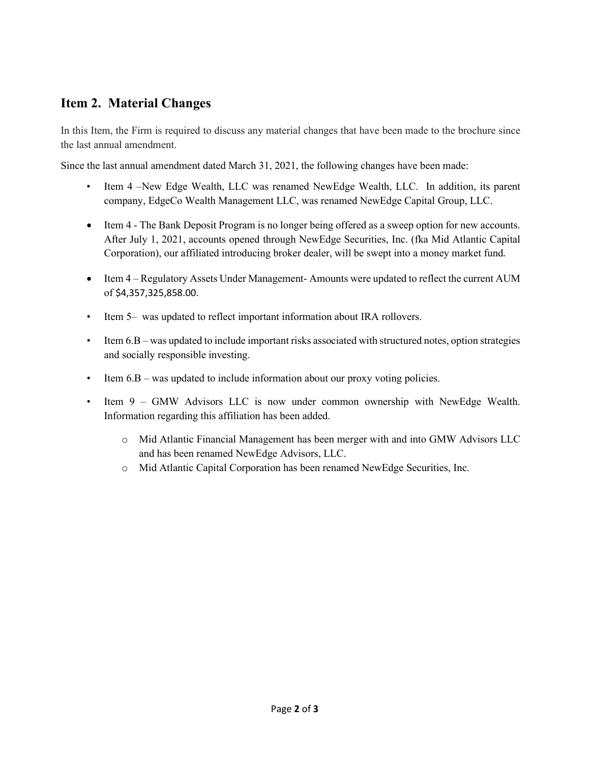# <span id="page-1-0"></span>**Item 2. Material Changes**

In this Item, the Firm is required to discuss any material changes that have been made to the brochure since the last annual amendment.

Since the last annual amendment dated March 31, 2021, the following changes have been made:

- Item 4 –New Edge Wealth, LLC was renamed NewEdge Wealth, LLC. In addition, its parent company, EdgeCo Wealth Management LLC, was renamed NewEdge Capital Group, LLC.
- Item 4 The Bank Deposit Program is no longer being offered as a sweep option for new accounts. After July 1, 2021, accounts opened through NewEdge Securities, Inc. (fka Mid Atlantic Capital Corporation), our affiliated introducing broker dealer, will be swept into a money market fund*.*
- Item 4 Regulatory Assets Under Management-Amounts were updated to reflect the current AUM of \$4,357,325,858.00.
- Item 5– was updated to reflect important information about IRA rollovers.
- Item 6.B was updated to include important risks associated with structured notes, option strategies and socially responsible investing.
- Item  $6.B$  was updated to include information about our proxy voting policies.
- Item 9 GMW Advisors LLC is now under common ownership with NewEdge Wealth. Information regarding this affiliation has been added.
	- o Mid Atlantic Financial Management has been merger with and into GMW Advisors LLC and has been renamed NewEdge Advisors, LLC.
	- o Mid Atlantic Capital Corporation has been renamed NewEdge Securities, Inc.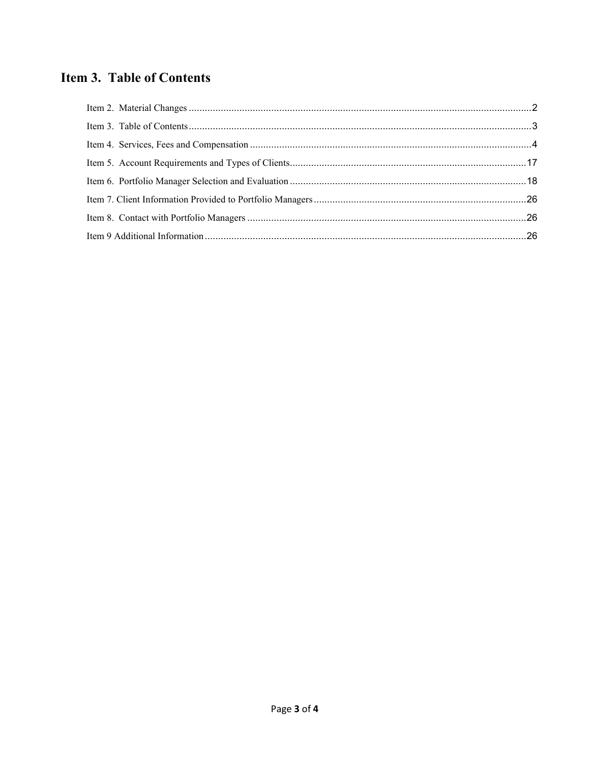# <span id="page-2-0"></span>**Item 3. Table of Contents**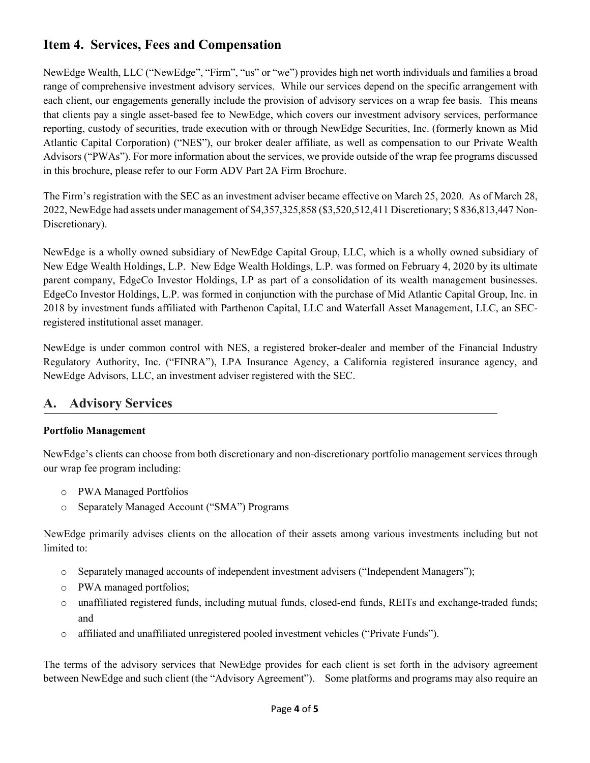# <span id="page-3-0"></span>**Item 4. Services, Fees and Compensation**

NewEdge Wealth, LLC ("NewEdge", "Firm", "us" or "we") provides high net worth individuals and families a broad range of comprehensive investment advisory services. While our services depend on the specific arrangement with each client, our engagements generally include the provision of advisory services on a wrap fee basis. This means that clients pay a single asset-based fee to NewEdge, which covers our investment advisory services, performance reporting, custody of securities, trade execution with or through NewEdge Securities, Inc. (formerly known as Mid Atlantic Capital Corporation) ("NES"), our broker dealer affiliate, as well as compensation to our Private Wealth Advisors ("PWAs"). For more information about the services, we provide outside of the wrap fee programs discussed in this brochure, please refer to our Form ADV Part 2A Firm Brochure.

The Firm's registration with the SEC as an investment adviser became effective on March 25, 2020. As of March 28, 2022, NewEdge had assets under management of \$4,357,325,858 (\$3,520,512,411 Discretionary; \$ 836,813,447 Non-Discretionary).

NewEdge is a wholly owned subsidiary of NewEdge Capital Group, LLC, which is a wholly owned subsidiary of New Edge Wealth Holdings, L.P. New Edge Wealth Holdings, L.P. was formed on February 4, 2020 by its ultimate parent company, EdgeCo Investor Holdings, LP as part of a consolidation of its wealth management businesses. EdgeCo Investor Holdings, L.P. was formed in conjunction with the purchase of Mid Atlantic Capital Group, Inc. in 2018 by investment funds affiliated with Parthenon Capital, LLC and Waterfall Asset Management, LLC, an SECregistered institutional asset manager.

NewEdge is under common control with NES, a registered broker-dealer and member of the Financial Industry Regulatory Authority, Inc. ("FINRA"), LPA Insurance Agency, a California registered insurance agency, and NewEdge Advisors, LLC, an investment adviser registered with the SEC.

# **A. Advisory Services**

## **Portfolio Management**

NewEdge's clients can choose from both discretionary and non-discretionary portfolio management services through our wrap fee program including:

- o PWA Managed Portfolios
- o Separately Managed Account ("SMA") Programs

NewEdge primarily advises clients on the allocation of their assets among various investments including but not limited to:

- o Separately managed accounts of independent investment advisers ("Independent Managers");
- o PWA managed portfolios;
- o unaffiliated registered funds, including mutual funds, closed-end funds, REITs and exchange-traded funds; and
- o affiliated and unaffiliated unregistered pooled investment vehicles ("Private Funds").

The terms of the advisory services that NewEdge provides for each client is set forth in the advisory agreement between NewEdge and such client (the "Advisory Agreement"). Some platforms and programs may also require an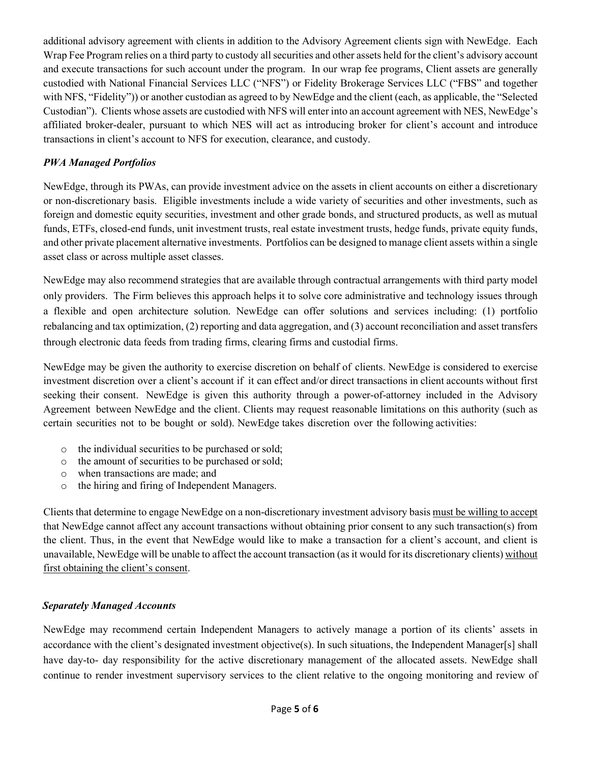additional advisory agreement with clients in addition to the Advisory Agreement clients sign with NewEdge. Each Wrap Fee Program relies on a third party to custody all securities and other assets held for the client's advisory account and execute transactions for such account under the program. In our wrap fee programs, Client assets are generally custodied with National Financial Services LLC ("NFS") or Fidelity Brokerage Services LLC ("FBS" and together with NFS, "Fidelity")) or another custodian as agreed to by NewEdge and the client (each, as applicable, the "Selected Custodian"). Clients whose assets are custodied with NFS will enter into an account agreement with NES, NewEdge's affiliated broker-dealer, pursuant to which NES will act as introducing broker for client's account and introduce transactions in client's account to NFS for execution, clearance, and custody.

## *PWA Managed Portfolios*

NewEdge, through its PWAs, can provide investment advice on the assets in client accounts on either a discretionary or non-discretionary basis. Eligible investments include a wide variety of securities and other investments, such as foreign and domestic equity securities, investment and other grade bonds, and structured products, as well as mutual funds, ETFs, closed-end funds, unit investment trusts, real estate investment trusts, hedge funds, private equity funds, and other private placement alternative investments. Portfolios can be designed to manage client assets within a single asset class or across multiple asset classes.

NewEdge may also recommend strategies that are available through contractual arrangements with third party model only providers. The Firm believes this approach helps it to solve core administrative and technology issues through a flexible and open architecture solution. NewEdge can offer solutions and services including: (1) portfolio rebalancing and tax optimization, (2) reporting and data aggregation, and (3) account reconciliation and asset transfers through electronic data feeds from trading firms, clearing firms and custodial firms.

NewEdge may be given the authority to exercise discretion on behalf of clients. NewEdge is considered to exercise investment discretion over a client's account if it can effect and/or direct transactions in client accounts without first seeking their consent. NewEdge is given this authority through a power-of-attorney included in the Advisory Agreement between NewEdge and the client. Clients may request reasonable limitations on this authority (such as certain securities not to be bought or sold). NewEdge takes discretion over the following activities:

- o the individual securities to be purchased or sold;
- o the amount of securities to be purchased or sold;
- $\circ$  when transactions are made; and  $\circ$  the hiring and firing of Independent
- the hiring and firing of Independent Managers.

Clients that determine to engage NewEdge on a non-discretionary investment advisory basis must be willing to accept that NewEdge cannot affect any account transactions without obtaining prior consent to any such transaction(s) from the client. Thus, in the event that NewEdge would like to make a transaction for a client's account, and client is unavailable, NewEdge will be unable to affect the account transaction (as it would for its discretionary clients) without first obtaining the client's consent.

#### *Separately Managed Accounts*

NewEdge may recommend certain Independent Managers to actively manage a portion of its clients' assets in accordance with the client's designated investment objective(s). In such situations, the Independent Manager[s] shall have day-to- day responsibility for the active discretionary management of the allocated assets. NewEdge shall continue to render investment supervisory services to the client relative to the ongoing monitoring and review of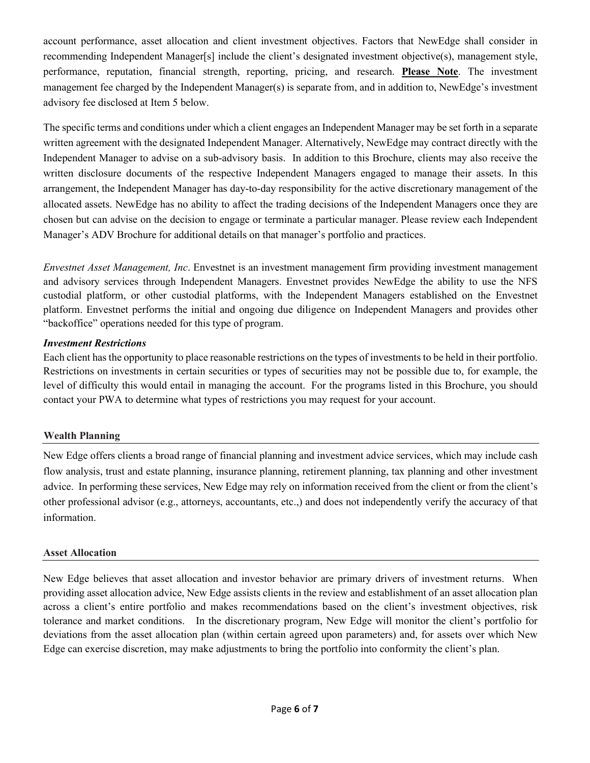account performance, asset allocation and client investment objectives. Factors that NewEdge shall consider in recommending Independent Manager[s] include the client's designated investment objective(s), management style, performance, reputation, financial strength, reporting, pricing, and research. **Please Note**. The investment management fee charged by the Independent Manager(s) is separate from, and in addition to, NewEdge's investment advisory fee disclosed at Item 5 below.

The specific terms and conditions under which a client engages an Independent Manager may be set forth in a separate written agreement with the designated Independent Manager. Alternatively, NewEdge may contract directly with the Independent Manager to advise on a sub-advisory basis. In addition to this Brochure, clients may also receive the written disclosure documents of the respective Independent Managers engaged to manage their assets. In this arrangement, the Independent Manager has day-to-day responsibility for the active discretionary management of the allocated assets. NewEdge has no ability to affect the trading decisions of the Independent Managers once they are chosen but can advise on the decision to engage or terminate a particular manager. Please review each Independent Manager's ADV Brochure for additional details on that manager's portfolio and practices.

*Envestnet Asset Management, Inc*. Envestnet is an investment management firm providing investment management and advisory services through Independent Managers. Envestnet provides NewEdge the ability to use the NFS custodial platform, or other custodial platforms, with the Independent Managers established on the Envestnet platform. Envestnet performs the initial and ongoing due diligence on Independent Managers and provides other "backoffice" operations needed for this type of program.

#### *Investment Restrictions*

Each client has the opportunity to place reasonable restrictions on the types of investments to be held in their portfolio. Restrictions on investments in certain securities or types of securities may not be possible due to, for example, the level of difficulty this would entail in managing the account. For the programs listed in this Brochure, you should contact your PWA to determine what types of restrictions you may request for your account.

## **Wealth Planning**

New Edge offers clients a broad range of financial planning and investment advice services, which may include cash flow analysis, trust and estate planning, insurance planning, retirement planning, tax planning and other investment advice. In performing these services, New Edge may rely on information received from the client or from the client's other professional advisor (e.g., attorneys, accountants, etc.,) and does not independently verify the accuracy of that information.

#### **Asset Allocation**

New Edge believes that asset allocation and investor behavior are primary drivers of investment returns. When providing asset allocation advice, New Edge assists clients in the review and establishment of an asset allocation plan across a client's entire portfolio and makes recommendations based on the client's investment objectives, risk tolerance and market conditions. In the discretionary program, New Edge will monitor the client's portfolio for deviations from the asset allocation plan (within certain agreed upon parameters) and, for assets over which New Edge can exercise discretion, may make adjustments to bring the portfolio into conformity the client's plan.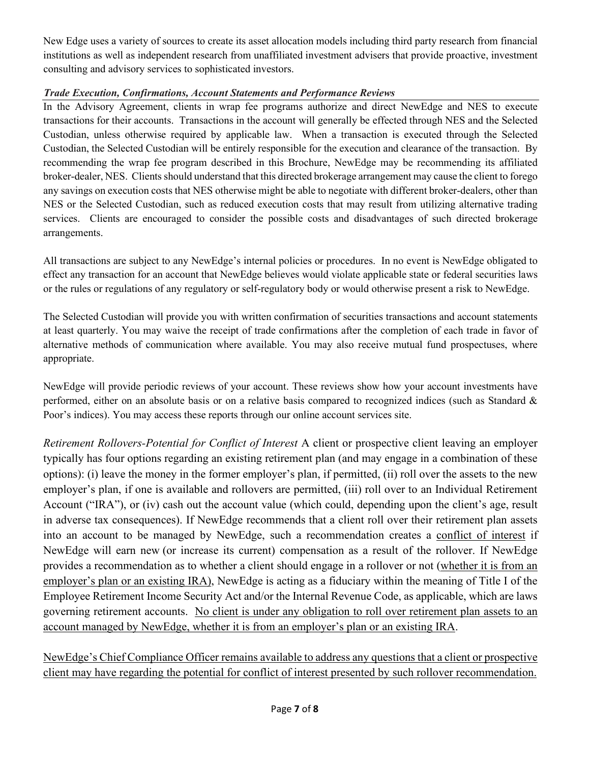New Edge uses a variety of sources to create its asset allocation models including third party research from financial institutions as well as independent research from unaffiliated investment advisers that provide proactive, investment consulting and advisory services to sophisticated investors.

# *Trade Execution, Confirmations, Account Statements and Performance Reviews*

In the Advisory Agreement, clients in wrap fee programs authorize and direct NewEdge and NES to execute transactions for their accounts. Transactions in the account will generally be effected through NES and the Selected Custodian, unless otherwise required by applicable law. When a transaction is executed through the Selected Custodian, the Selected Custodian will be entirely responsible for the execution and clearance of the transaction. By recommending the wrap fee program described in this Brochure, NewEdge may be recommending its affiliated broker-dealer, NES. Clients should understand that this directed brokerage arrangement may cause the client to forego any savings on execution costs that NES otherwise might be able to negotiate with different broker-dealers, other than NES or the Selected Custodian, such as reduced execution costs that may result from utilizing alternative trading services. Clients are encouraged to consider the possible costs and disadvantages of such directed brokerage arrangements.

All transactions are subject to any NewEdge's internal policies or procedures. In no event is NewEdge obligated to effect any transaction for an account that NewEdge believes would violate applicable state or federal securities laws or the rules or regulations of any regulatory or self-regulatory body or would otherwise present a risk to NewEdge.

The Selected Custodian will provide you with written confirmation of securities transactions and account statements at least quarterly. You may waive the receipt of trade confirmations after the completion of each trade in favor of alternative methods of communication where available. You may also receive mutual fund prospectuses, where appropriate.

NewEdge will provide periodic reviews of your account. These reviews show how your account investments have performed, either on an absolute basis or on a relative basis compared to recognized indices (such as Standard  $\&$ Poor's indices). You may access these reports through our online account services site.

*Retirement Rollovers-Potential for Conflict of Interest* A client or prospective client leaving an employer typically has four options regarding an existing retirement plan (and may engage in a combination of these options): (i) leave the money in the former employer's plan, if permitted, (ii) roll over the assets to the new employer's plan, if one is available and rollovers are permitted, (iii) roll over to an Individual Retirement Account ("IRA"), or (iv) cash out the account value (which could, depending upon the client's age, result in adverse tax consequences). If NewEdge recommends that a client roll over their retirement plan assets into an account to be managed by NewEdge, such a recommendation creates a conflict of interest if NewEdge will earn new (or increase its current) compensation as a result of the rollover. If NewEdge provides a recommendation as to whether a client should engage in a rollover or not (whether it is from an employer's plan or an existing IRA), NewEdge is acting as a fiduciary within the meaning of Title I of the Employee Retirement Income Security Act and/or the Internal Revenue Code, as applicable, which are laws governing retirement accounts. No client is under any obligation to roll over retirement plan assets to an account managed by NewEdge, whether it is from an employer's plan or an existing IRA.

NewEdge's Chief Compliance Officer remains available to address any questions that a client or prospective client may have regarding the potential for conflict of interest presented by such rollover recommendation.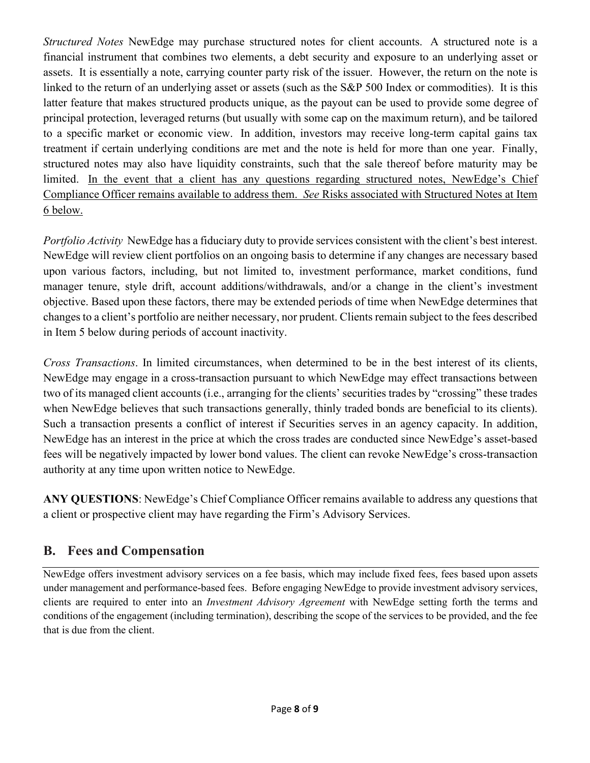*Structured Notes* NewEdge may purchase structured notes for client accounts. A structured note is a financial instrument that combines two elements, a debt security and exposure to an underlying asset or assets. It is essentially a note, carrying counter party risk of the issuer. However, the return on the note is linked to the return of an underlying asset or assets (such as the S&P 500 Index or commodities). It is this latter feature that makes structured products unique, as the payout can be used to provide some degree of principal protection, leveraged returns (but usually with some cap on the maximum return), and be tailored to a specific market or economic view. In addition, investors may receive long-term capital gains tax treatment if certain underlying conditions are met and the note is held for more than one year. Finally, structured notes may also have liquidity constraints, such that the sale thereof before maturity may be limited. In the event that a client has any questions regarding structured notes, NewEdge's Chief Compliance Officer remains available to address them. *See* Risks associated with Structured Notes at Item 6 below.

*Portfolio Activity* NewEdge has a fiduciary duty to provide services consistent with the client's best interest. NewEdge will review client portfolios on an ongoing basis to determine if any changes are necessary based upon various factors, including, but not limited to, investment performance, market conditions, fund manager tenure, style drift, account additions/withdrawals, and/or a change in the client's investment objective. Based upon these factors, there may be extended periods of time when NewEdge determines that changes to a client's portfolio are neither necessary, nor prudent. Clients remain subject to the fees described in Item 5 below during periods of account inactivity.

*Cross Transactions*. In limited circumstances, when determined to be in the best interest of its clients, NewEdge may engage in a cross-transaction pursuant to which NewEdge may effect transactions between two of its managed client accounts (i.e., arranging for the clients' securities trades by "crossing" these trades when NewEdge believes that such transactions generally, thinly traded bonds are beneficial to its clients). Such a transaction presents a conflict of interest if Securities serves in an agency capacity. In addition, NewEdge has an interest in the price at which the cross trades are conducted since NewEdge's asset-based fees will be negatively impacted by lower bond values. The client can revoke NewEdge's cross-transaction authority at any time upon written notice to NewEdge.

**ANY QUESTIONS**: NewEdge's Chief Compliance Officer remains available to address any questions that a client or prospective client may have regarding the Firm's Advisory Services.

# **B. Fees and Compensation**

NewEdge offers investment advisory services on a fee basis, which may include fixed fees, fees based upon assets under management and performance-based fees. Before engaging NewEdge to provide investment advisory services, clients are required to enter into an *Investment Advisory Agreement* with NewEdge setting forth the terms and conditions of the engagement (including termination), describing the scope of the services to be provided, and the fee that is due from the client.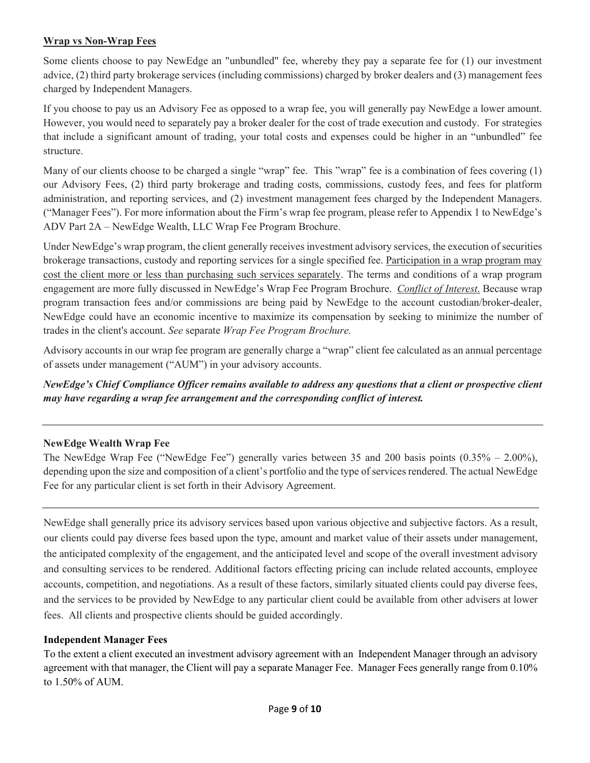#### **Wrap vs Non-Wrap Fees**

Some clients choose to pay NewEdge an "unbundled" fee, whereby they pay a separate fee for (1) our investment advice, (2) third party brokerage services (including commissions) charged by broker dealers and (3) management fees charged by Independent Managers.

If you choose to pay us an Advisory Fee as opposed to a wrap fee, you will generally pay NewEdge a lower amount. However, you would need to separately pay a broker dealer for the cost of trade execution and custody. For strategies that include a significant amount of trading, your total costs and expenses could be higher in an "unbundled" fee structure.

Many of our clients choose to be charged a single "wrap" fee. This "wrap" fee is a combination of fees covering (1) our Advisory Fees, (2) third party brokerage and trading costs, commissions, custody fees, and fees for platform administration, and reporting services, and (2) investment management fees charged by the Independent Managers. ("Manager Fees"). For more information about the Firm's wrap fee program, please refer to Appendix 1 to NewEdge's ADV Part 2A – NewEdge Wealth, LLC Wrap Fee Program Brochure.

Under NewEdge's wrap program, the client generally receives investment advisory services, the execution of securities brokerage transactions, custody and reporting services for a single specified fee. Participation in a wrap program may cost the client more or less than purchasing such services separately. The terms and conditions of a wrap program engagement are more fully discussed in NewEdge's Wrap Fee Program Brochure. *Conflict of Interest*. Because wrap program transaction fees and/or commissions are being paid by NewEdge to the account custodian/broker-dealer, NewEdge could have an economic incentive to maximize its compensation by seeking to minimize the number of trades in the client's account. *See* separate *Wrap Fee Program Brochure.*

Advisory accounts in our wrap fee program are generally charge a "wrap" client fee calculated as an annual percentage of assets under management ("AUM") in your advisory accounts.

*NewEdge's Chief Compliance Officer remains available to address any questions that a client or prospective client may have regarding a wrap fee arrangement and the corresponding conflict of interest.* 

## **NewEdge Wealth Wrap Fee**

The NewEdge Wrap Fee ("NewEdge Fee") generally varies between 35 and 200 basis points (0.35% – 2.00%), depending upon the size and composition of a client's portfolio and the type of services rendered. The actual NewEdge Fee for any particular client is set forth in their Advisory Agreement.

NewEdge shall generally price its advisory services based upon various objective and subjective factors. As a result, our clients could pay diverse fees based upon the type, amount and market value of their assets under management, the anticipated complexity of the engagement, and the anticipated level and scope of the overall investment advisory and consulting services to be rendered. Additional factors effecting pricing can include related accounts, employee accounts, competition, and negotiations. As a result of these factors, similarly situated clients could pay diverse fees, and the services to be provided by NewEdge to any particular client could be available from other advisers at lower fees. All clients and prospective clients should be guided accordingly.

#### **Independent Manager Fees**

To the extent a client executed an investment advisory agreement with an Independent Manager through an advisory agreement with that manager, the Client will pay a separate Manager Fee. Manager Fees generally range from 0.10% to 1.50% of AUM.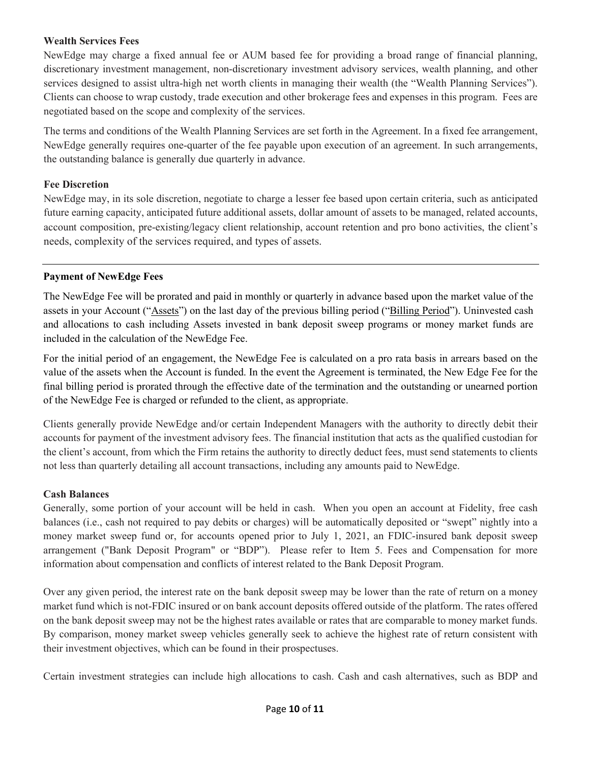#### **Wealth Services Fees**

NewEdge may charge a fixed annual fee or AUM based fee for providing a broad range of financial planning, discretionary investment management, non-discretionary investment advisory services, wealth planning, and other services designed to assist ultra-high net worth clients in managing their wealth (the "Wealth Planning Services"). Clients can choose to wrap custody, trade execution and other brokerage fees and expenses in this program. Fees are negotiated based on the scope and complexity of the services.

The terms and conditions of the Wealth Planning Services are set forth in the Agreement. In a fixed fee arrangement, NewEdge generally requires one-quarter of the fee payable upon execution of an agreement. In such arrangements, the outstanding balance is generally due quarterly in advance.

#### **Fee Discretion**

NewEdge may, in its sole discretion, negotiate to charge a lesser fee based upon certain criteria, such as anticipated future earning capacity, anticipated future additional assets, dollar amount of assets to be managed, related accounts, account composition, pre-existing/legacy client relationship, account retention and pro bono activities, the client's needs, complexity of the services required, and types of assets.

#### **Payment of NewEdge Fees**

The NewEdge Fee will be prorated and paid in monthly or quarterly in advance based upon the market value of the assets in your Account ("Assets") on the last day of the previous billing period ("Billing Period"). Uninvested cash and allocations to cash including Assets invested in bank deposit sweep programs or money market funds are included in the calculation of the NewEdge Fee.

For the initial period of an engagement, the NewEdge Fee is calculated on a pro rata basis in arrears based on the value of the assets when the Account is funded. In the event the Agreement is terminated, the New Edge Fee for the final billing period is prorated through the effective date of the termination and the outstanding or unearned portion of the NewEdge Fee is charged or refunded to the client, as appropriate.

Clients generally provide NewEdge and/or certain Independent Managers with the authority to directly debit their accounts for payment of the investment advisory fees. The financial institution that acts as the qualified custodian for the client's account, from which the Firm retains the authority to directly deduct fees, must send statements to clients not less than quarterly detailing all account transactions, including any amounts paid to NewEdge.

## **Cash Balances**

Generally, some portion of your account will be held in cash. When you open an account at Fidelity, free cash balances (i.e., cash not required to pay debits or charges) will be automatically deposited or "swept" nightly into a money market sweep fund or, for accounts opened prior to July 1, 2021, an FDIC-insured bank deposit sweep arrangement ("Bank Deposit Program" or "BDP"). Please refer to Item 5. Fees and Compensation for more information about compensation and conflicts of interest related to the Bank Deposit Program.

Over any given period, the interest rate on the bank deposit sweep may be lower than the rate of return on a money market fund which is not-FDIC insured or on bank account deposits offered outside of the platform. The rates offered on the bank deposit sweep may not be the highest rates available or rates that are comparable to money market funds. By comparison, money market sweep vehicles generally seek to achieve the highest rate of return consistent with their investment objectives, which can be found in their prospectuses.

Certain investment strategies can include high allocations to cash. Cash and cash alternatives, such as BDP and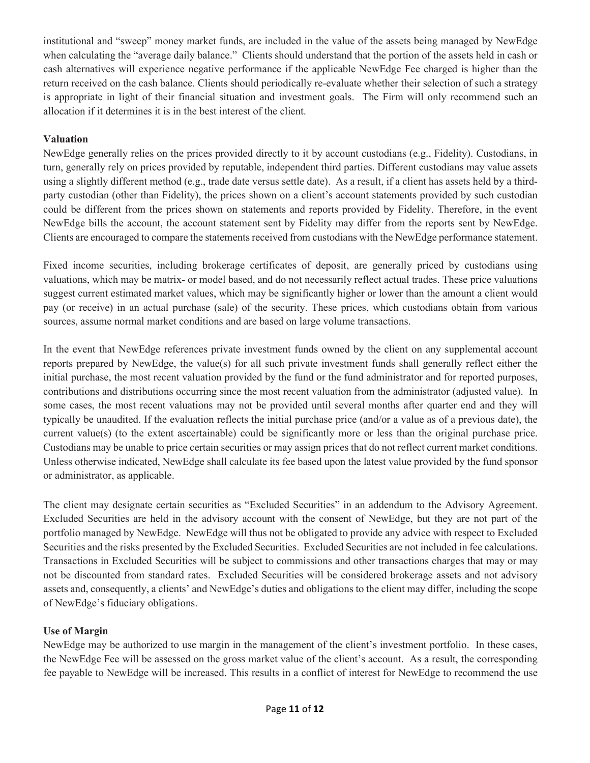institutional and "sweep" money market funds, are included in the value of the assets being managed by NewEdge when calculating the "average daily balance." Clients should understand that the portion of the assets held in cash or cash alternatives will experience negative performance if the applicable NewEdge Fee charged is higher than the return received on the cash balance. Clients should periodically re-evaluate whether their selection of such a strategy is appropriate in light of their financial situation and investment goals. The Firm will only recommend such an allocation if it determines it is in the best interest of the client.

## **Valuation**

NewEdge generally relies on the prices provided directly to it by account custodians (e.g., Fidelity). Custodians, in turn, generally rely on prices provided by reputable, independent third parties. Different custodians may value assets using a slightly different method (e.g., trade date versus settle date). As a result, if a client has assets held by a thirdparty custodian (other than Fidelity), the prices shown on a client's account statements provided by such custodian could be different from the prices shown on statements and reports provided by Fidelity. Therefore, in the event NewEdge bills the account, the account statement sent by Fidelity may differ from the reports sent by NewEdge. Clients are encouraged to compare the statements received from custodians with the NewEdge performance statement.

Fixed income securities, including brokerage certificates of deposit, are generally priced by custodians using valuations, which may be matrix- or model based, and do not necessarily reflect actual trades. These price valuations suggest current estimated market values, which may be significantly higher or lower than the amount a client would pay (or receive) in an actual purchase (sale) of the security. These prices, which custodians obtain from various sources, assume normal market conditions and are based on large volume transactions.

In the event that NewEdge references private investment funds owned by the client on any supplemental account reports prepared by NewEdge, the value(s) for all such private investment funds shall generally reflect either the initial purchase, the most recent valuation provided by the fund or the fund administrator and for reported purposes, contributions and distributions occurring since the most recent valuation from the administrator (adjusted value). In some cases, the most recent valuations may not be provided until several months after quarter end and they will typically be unaudited. If the evaluation reflects the initial purchase price (and/or a value as of a previous date), the current value(s) (to the extent ascertainable) could be significantly more or less than the original purchase price. Custodians may be unable to price certain securities or may assign prices that do not reflect current market conditions. Unless otherwise indicated, NewEdge shall calculate its fee based upon the latest value provided by the fund sponsor or administrator, as applicable.

The client may designate certain securities as "Excluded Securities" in an addendum to the Advisory Agreement. Excluded Securities are held in the advisory account with the consent of NewEdge, but they are not part of the portfolio managed by NewEdge. NewEdge will thus not be obligated to provide any advice with respect to Excluded Securities and the risks presented by the Excluded Securities. Excluded Securities are not included in fee calculations. Transactions in Excluded Securities will be subject to commissions and other transactions charges that may or may not be discounted from standard rates. Excluded Securities will be considered brokerage assets and not advisory assets and, consequently, a clients' and NewEdge's duties and obligations to the client may differ, including the scope of NewEdge's fiduciary obligations.

## **Use of Margin**

NewEdge may be authorized to use margin in the management of the client's investment portfolio. In these cases, the NewEdge Fee will be assessed on the gross market value of the client's account. As a result, the corresponding fee payable to NewEdge will be increased. This results in a conflict of interest for NewEdge to recommend the use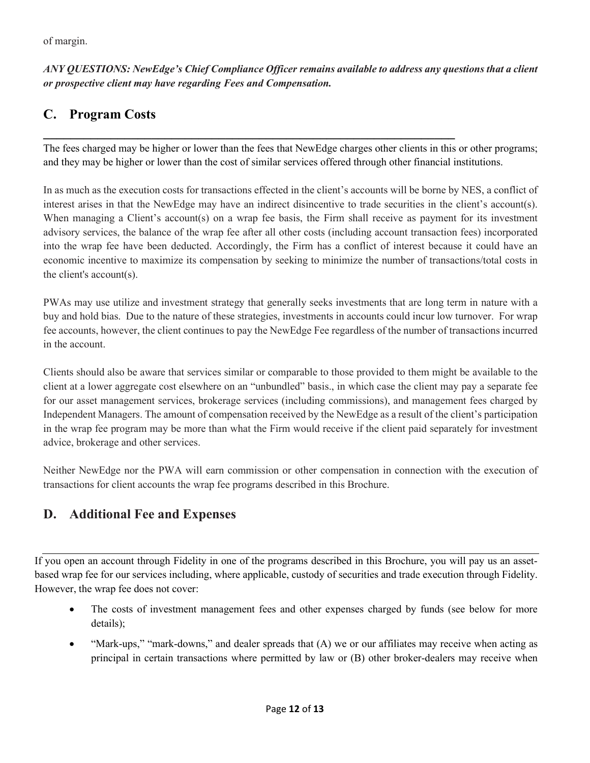# *ANY QUESTIONS: NewEdge's Chief Compliance Officer remains available to address any questions that a client or prospective client may have regarding Fees and Compensation.*

# **C. Program Costs**

The fees charged may be higher or lower than the fees that NewEdge charges other clients in this or other programs; and they may be higher or lower than the cost of similar services offered through other financial institutions.

**\_\_\_\_\_\_\_\_\_\_\_\_\_\_\_\_\_\_\_\_\_\_\_\_\_\_\_\_\_\_\_\_\_\_\_\_\_\_\_\_\_\_\_\_\_\_\_\_\_\_\_\_\_\_\_\_\_\_\_\_\_**

In as much as the execution costs for transactions effected in the client's accounts will be borne by NES, a conflict of interest arises in that the NewEdge may have an indirect disincentive to trade securities in the client's account(s). When managing a Client's account(s) on a wrap fee basis, the Firm shall receive as payment for its investment advisory services, the balance of the wrap fee after all other costs (including account transaction fees) incorporated into the wrap fee have been deducted. Accordingly, the Firm has a conflict of interest because it could have an economic incentive to maximize its compensation by seeking to minimize the number of transactions/total costs in the client's account(s).

PWAs may use utilize and investment strategy that generally seeks investments that are long term in nature with a buy and hold bias. Due to the nature of these strategies, investments in accounts could incur low turnover. For wrap fee accounts, however, the client continues to pay the NewEdge Fee regardless of the number of transactions incurred in the account.

Clients should also be aware that services similar or comparable to those provided to them might be available to the client at a lower aggregate cost elsewhere on an "unbundled" basis., in which case the client may pay a separate fee for our asset management services, brokerage services (including commissions), and management fees charged by Independent Managers. The amount of compensation received by the NewEdge as a result of the client's participation in the wrap fee program may be more than what the Firm would receive if the client paid separately for investment advice, brokerage and other services.

Neither NewEdge nor the PWA will earn commission or other compensation in connection with the execution of transactions for client accounts the wrap fee programs described in this Brochure.

# **D. Additional Fee and Expenses**

If you open an account through Fidelity in one of the programs described in this Brochure, you will pay us an assetbased wrap fee for our services including, where applicable, custody of securities and trade execution through Fidelity. However, the wrap fee does not cover:

- The costs of investment management fees and other expenses charged by funds (see below for more details);
- "Mark-ups," "mark-downs," and dealer spreads that (A) we or our affiliates may receive when acting as principal in certain transactions where permitted by law or (B) other broker-dealers may receive when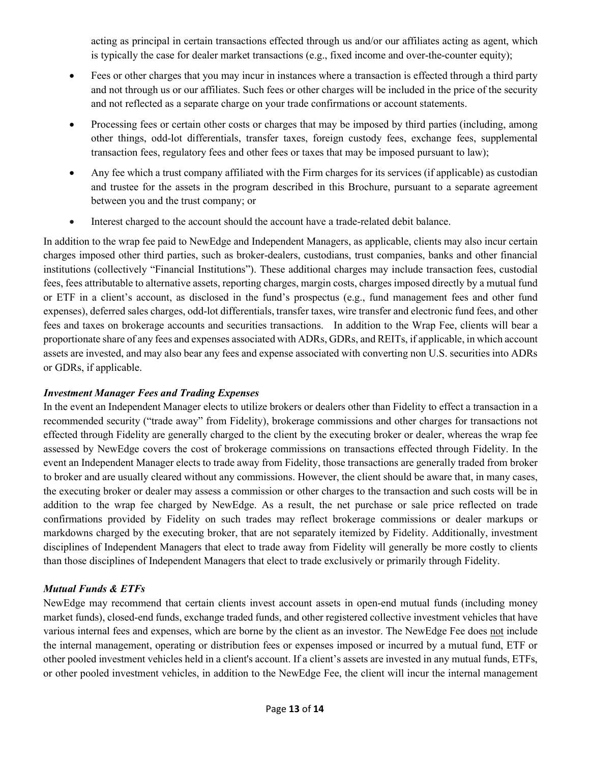acting as principal in certain transactions effected through us and/or our affiliates acting as agent, which is typically the case for dealer market transactions (e.g., fixed income and over-the-counter equity);

- Fees or other charges that you may incur in instances where a transaction is effected through a third party and not through us or our affiliates. Such fees or other charges will be included in the price of the security and not reflected as a separate charge on your trade confirmations or account statements.
- Processing fees or certain other costs or charges that may be imposed by third parties (including, among other things, odd-lot differentials, transfer taxes, foreign custody fees, exchange fees, supplemental transaction fees, regulatory fees and other fees or taxes that may be imposed pursuant to law);
- Any fee which a trust company affiliated with the Firm charges for its services (if applicable) as custodian and trustee for the assets in the program described in this Brochure, pursuant to a separate agreement between you and the trust company; or
- Interest charged to the account should the account have a trade-related debit balance.

In addition to the wrap fee paid to NewEdge and Independent Managers, as applicable, clients may also incur certain charges imposed other third parties, such as broker-dealers, custodians, trust companies, banks and other financial institutions (collectively "Financial Institutions"). These additional charges may include transaction fees, custodial fees, fees attributable to alternative assets, reporting charges, margin costs, charges imposed directly by a mutual fund or ETF in a client's account, as disclosed in the fund's prospectus (e.g., fund management fees and other fund expenses), deferred sales charges, odd-lot differentials, transfer taxes, wire transfer and electronic fund fees, and other fees and taxes on brokerage accounts and securities transactions. In addition to the Wrap Fee, clients will bear a proportionate share of any fees and expenses associated with ADRs, GDRs, and REITs, if applicable, in which account assets are invested, and may also bear any fees and expense associated with converting non U.S. securities into ADRs or GDRs, if applicable.

## *Investment Manager Fees and Trading Expenses*

In the event an Independent Manager elects to utilize brokers or dealers other than Fidelity to effect a transaction in a recommended security ("trade away" from Fidelity), brokerage commissions and other charges for transactions not effected through Fidelity are generally charged to the client by the executing broker or dealer, whereas the wrap fee assessed by NewEdge covers the cost of brokerage commissions on transactions effected through Fidelity. In the event an Independent Manager elects to trade away from Fidelity, those transactions are generally traded from broker to broker and are usually cleared without any commissions. However, the client should be aware that, in many cases, the executing broker or dealer may assess a commission or other charges to the transaction and such costs will be in addition to the wrap fee charged by NewEdge. As a result, the net purchase or sale price reflected on trade confirmations provided by Fidelity on such trades may reflect brokerage commissions or dealer markups or markdowns charged by the executing broker, that are not separately itemized by Fidelity. Additionally, investment disciplines of Independent Managers that elect to trade away from Fidelity will generally be more costly to clients than those disciplines of Independent Managers that elect to trade exclusively or primarily through Fidelity.

# *Mutual Funds & ETFs*

NewEdge may recommend that certain clients invest account assets in open-end mutual funds (including money market funds), closed-end funds, exchange traded funds, and other registered collective investment vehicles that have various internal fees and expenses, which are borne by the client as an investor. The NewEdge Fee does not include the internal management, operating or distribution fees or expenses imposed or incurred by a mutual fund, ETF or other pooled investment vehicles held in a client's account. If a client's assets are invested in any mutual funds, ETFs, or other pooled investment vehicles, in addition to the NewEdge Fee, the client will incur the internal management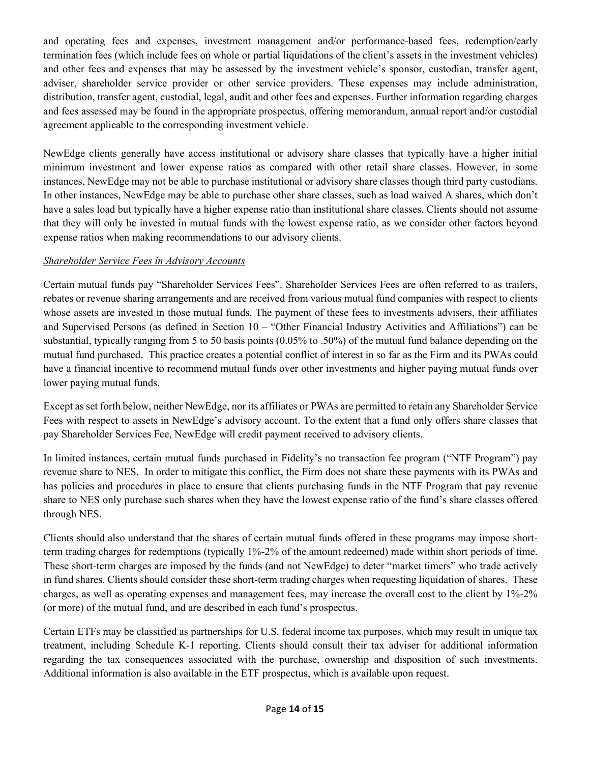and operating fees and expenses, investment management and/or performance-based fees, redemption/early termination fees (which include fees on whole or partial liquidations of the client's assets in the investment vehicles) and other fees and expenses that may be assessed by the investment vehicle's sponsor, custodian, transfer agent, adviser, shareholder service provider or other service providers. These expenses may include administration, distribution, transfer agent, custodial, legal, audit and other fees and expenses. Further information regarding charges and fees assessed may be found in the appropriate prospectus, offering memorandum, annual report and/or custodial agreement applicable to the corresponding investment vehicle.

NewEdge clients generally have access institutional or advisory share classes that typically have a higher initial minimum investment and lower expense ratios as compared with other retail share classes. However, in some instances, NewEdge may not be able to purchase institutional or advisory share classes though third party custodians. In other instances, NewEdge may be able to purchase other share classes, such as load waived A shares, which don't have a sales load but typically have a higher expense ratio than institutional share classes. Clients should not assume that they will only be invested in mutual funds with the lowest expense ratio, as we consider other factors beyond expense ratios when making recommendations to our advisory clients.

#### *Shareholder Service Fees in Advisory Accounts*

Certain mutual funds pay "Shareholder Services Fees". Shareholder Services Fees are often referred to as trailers, rebates or revenue sharing arrangements and are received from various mutual fund companies with respect to clients whose assets are invested in those mutual funds. The payment of these fees to investments advisers, their affiliates and Supervised Persons (as defined in Section 10 – "Other Financial Industry Activities and Affiliations") can be substantial, typically ranging from 5 to 50 basis points (0.05% to .50%) of the mutual fund balance depending on the mutual fund purchased. This practice creates a potential conflict of interest in so far as the Firm and its PWAs could have a financial incentive to recommend mutual funds over other investments and higher paying mutual funds over lower paying mutual funds.

Except as set forth below, neither NewEdge, nor its affiliates or PWAs are permitted to retain any Shareholder Service Fees with respect to assets in NewEdge's advisory account. To the extent that a fund only offers share classes that pay Shareholder Services Fee, NewEdge will credit payment received to advisory clients.

In limited instances, certain mutual funds purchased in Fidelity's no transaction fee program ("NTF Program") pay revenue share to NES. In order to mitigate this conflict, the Firm does not share these payments with its PWAs and has policies and procedures in place to ensure that clients purchasing funds in the NTF Program that pay revenue share to NES only purchase such shares when they have the lowest expense ratio of the fund's share classes offered through NES.

Clients should also understand that the shares of certain mutual funds offered in these programs may impose shortterm trading charges for redemptions (typically 1%-2% of the amount redeemed) made within short periods of time. These short-term charges are imposed by the funds (and not NewEdge) to deter "market timers" who trade actively in fund shares. Clients should consider these short-term trading charges when requesting liquidation of shares. These charges, as well as operating expenses and management fees, may increase the overall cost to the client by 1%-2% (or more) of the mutual fund, and are described in each fund's prospectus.

Certain ETFs may be classified as partnerships for U.S. federal income tax purposes, which may result in unique tax treatment, including Schedule K-1 reporting. Clients should consult their tax adviser for additional information regarding the tax consequences associated with the purchase, ownership and disposition of such investments. Additional information is also available in the ETF prospectus, which is available upon request.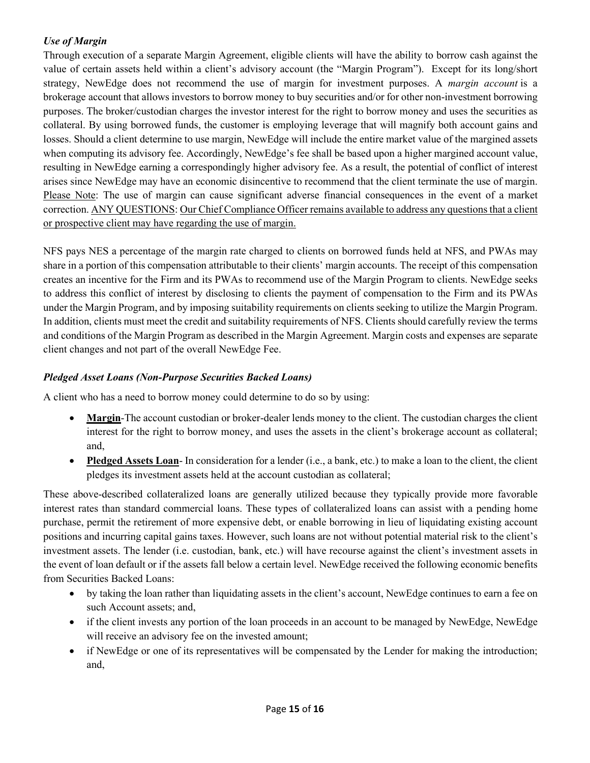# *Use of Margin*

Through execution of a separate Margin Agreement, eligible clients will have the ability to borrow cash against the value of certain assets held within a client's advisory account (the "Margin Program"). Except for its long/short strategy, NewEdge does not recommend the use of margin for investment purposes. A *margin account* is a brokerage account that allows investors to borrow money to buy securities and/or for other non-investment borrowing purposes. The broker/custodian charges the investor interest for the right to borrow money and uses the securities as collateral. By using borrowed funds, the customer is employing leverage that will magnify both account gains and losses. Should a client determine to use margin, NewEdge will include the entire market value of the margined assets when computing its advisory fee. Accordingly, NewEdge's fee shall be based upon a higher margined account value, resulting in NewEdge earning a correspondingly higher advisory fee. As a result, the potential of conflict of interest arises since NewEdge may have an economic disincentive to recommend that the client terminate the use of margin. Please Note: The use of margin can cause significant adverse financial consequences in the event of a market correction. ANY QUESTIONS: Our Chief Compliance Officer remains available to address any questions that a client or prospective client may have regarding the use of margin.

NFS pays NES a percentage of the margin rate charged to clients on borrowed funds held at NFS, and PWAs may share in a portion of this compensation attributable to their clients' margin accounts. The receipt of this compensation creates an incentive for the Firm and its PWAs to recommend use of the Margin Program to clients. NewEdge seeks to address this conflict of interest by disclosing to clients the payment of compensation to the Firm and its PWAs under the Margin Program, and by imposing suitability requirements on clients seeking to utilize the Margin Program. In addition, clients must meet the credit and suitability requirements of NFS. Clients should carefully review the terms and conditions of the Margin Program as described in the Margin Agreement. Margin costs and expenses are separate client changes and not part of the overall NewEdge Fee.

## *Pledged Asset Loans (Non-Purpose Securities Backed Loans)*

A client who has a need to borrow money could determine to do so by using:

- **Margin**-The account custodian or broker-dealer lends money to the client. The custodian charges the client interest for the right to borrow money, and uses the assets in the client's brokerage account as collateral; and,
- **Pledged Assets Loan** In consideration for a lender (i.e., a bank, etc.) to make a loan to the client, the client pledges its investment assets held at the account custodian as collateral;

These above-described collateralized loans are generally utilized because they typically provide more favorable interest rates than standard commercial loans. These types of collateralized loans can assist with a pending home purchase, permit the retirement of more expensive debt, or enable borrowing in lieu of liquidating existing account positions and incurring capital gains taxes. However, such loans are not without potential material risk to the client's investment assets. The lender (i.e. custodian, bank, etc.) will have recourse against the client's investment assets in the event of loan default or if the assets fall below a certain level. NewEdge received the following economic benefits from Securities Backed Loans:

- by taking the loan rather than liquidating assets in the client's account, NewEdge continues to earn a fee on such Account assets; and,
- if the client invests any portion of the loan proceeds in an account to be managed by NewEdge, NewEdge will receive an advisory fee on the invested amount;
- if NewEdge or one of its representatives will be compensated by the Lender for making the introduction; and,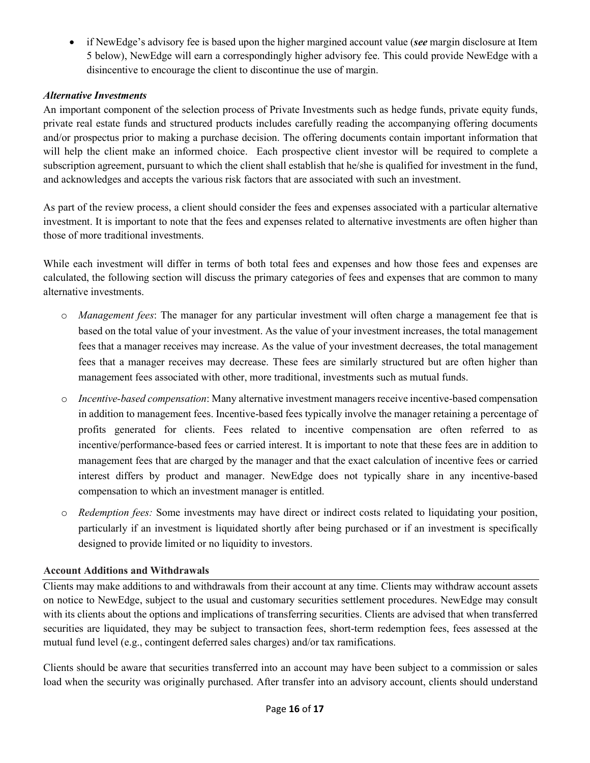• if NewEdge's advisory fee is based upon the higher margined account value (*see* margin disclosure at Item 5 below), NewEdge will earn a correspondingly higher advisory fee. This could provide NewEdge with a disincentive to encourage the client to discontinue the use of margin.

## *Alternative Investments*

An important component of the selection process of Private Investments such as hedge funds, private equity funds, private real estate funds and structured products includes carefully reading the accompanying offering documents and/or prospectus prior to making a purchase decision. The offering documents contain important information that will help the client make an informed choice. Each prospective client investor will be required to complete a subscription agreement, pursuant to which the client shall establish that he/she is qualified for investment in the fund, and acknowledges and accepts the various risk factors that are associated with such an investment.

As part of the review process, a client should consider the fees and expenses associated with a particular alternative investment. It is important to note that the fees and expenses related to alternative investments are often higher than those of more traditional investments.

While each investment will differ in terms of both total fees and expenses and how those fees and expenses are calculated, the following section will discuss the primary categories of fees and expenses that are common to many alternative investments.

- o *Management fees*: The manager for any particular investment will often charge a management fee that is based on the total value of your investment. As the value of your investment increases, the total management fees that a manager receives may increase. As the value of your investment decreases, the total management fees that a manager receives may decrease. These fees are similarly structured but are often higher than management fees associated with other, more traditional, investments such as mutual funds.
- o *Incentive-based compensation*: Many alternative investment managers receive incentive-based compensation in addition to management fees. Incentive-based fees typically involve the manager retaining a percentage of profits generated for clients. Fees related to incentive compensation are often referred to as incentive/performance-based fees or carried interest. It is important to note that these fees are in addition to management fees that are charged by the manager and that the exact calculation of incentive fees or carried interest differs by product and manager. NewEdge does not typically share in any incentive-based compensation to which an investment manager is entitled.
- o *Redemption fees:* Some investments may have direct or indirect costs related to liquidating your position, particularly if an investment is liquidated shortly after being purchased or if an investment is specifically designed to provide limited or no liquidity to investors.

#### **Account Additions and Withdrawals**

Clients may make additions to and withdrawals from their account at any time. Clients may withdraw account assets on notice to NewEdge, subject to the usual and customary securities settlement procedures. NewEdge may consult with its clients about the options and implications of transferring securities. Clients are advised that when transferred securities are liquidated, they may be subject to transaction fees, short-term redemption fees, fees assessed at the mutual fund level (e.g., contingent deferred sales charges) and/or tax ramifications.

Clients should be aware that securities transferred into an account may have been subject to a commission or sales load when the security was originally purchased. After transfer into an advisory account, clients should understand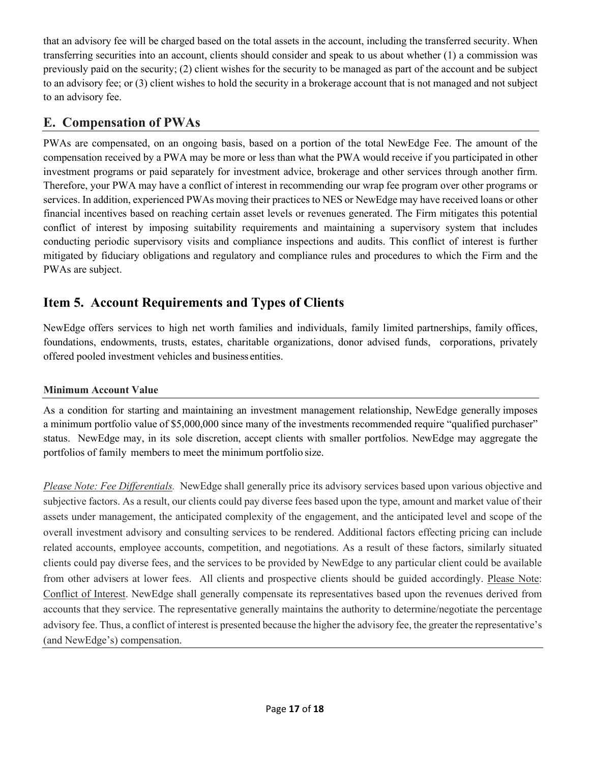that an advisory fee will be charged based on the total assets in the account, including the transferred security. When transferring securities into an account, clients should consider and speak to us about whether (1) a commission was previously paid on the security; (2) client wishes for the security to be managed as part of the account and be subject to an advisory fee; or (3) client wishes to hold the security in a brokerage account that is not managed and not subject to an advisory fee.

# **E. Compensation of PWAs**

PWAs are compensated, on an ongoing basis, based on a portion of the total NewEdge Fee. The amount of the compensation received by a PWA may be more or less than what the PWA would receive if you participated in other investment programs or paid separately for investment advice, brokerage and other services through another firm. Therefore, your PWA may have a conflict of interest in recommending our wrap fee program over other programs or services. In addition, experienced PWAs moving their practices to NES or NewEdge may have received loans or other financial incentives based on reaching certain asset levels or revenues generated. The Firm mitigates this potential conflict of interest by imposing suitability requirements and maintaining a supervisory system that includes conducting periodic supervisory visits and compliance inspections and audits. This conflict of interest is further mitigated by fiduciary obligations and regulatory and compliance rules and procedures to which the Firm and the PWAs are subject.

# <span id="page-16-0"></span>**Item 5. Account Requirements and Types of Clients**

NewEdge offers services to high net worth families and individuals, family limited partnerships, family offices, foundations, endowments, trusts, estates, charitable organizations, donor advised funds, corporations, privately offered pooled investment vehicles and business entities.

## **Minimum Account Value**

As a condition for starting and maintaining an investment management relationship, NewEdge generally imposes a minimum portfolio value of \$5,000,000 since many of the investments recommended require "qualified purchaser" status. NewEdge may, in its sole discretion, accept clients with smaller portfolios. NewEdge may aggregate the portfolios of family members to meet the minimum portfolio size.

*Please Note: Fee Differentials.* NewEdge shall generally price its advisory services based upon various objective and subjective factors. As a result, our clients could pay diverse fees based upon the type, amount and market value of their assets under management, the anticipated complexity of the engagement, and the anticipated level and scope of the overall investment advisory and consulting services to be rendered. Additional factors effecting pricing can include related accounts, employee accounts, competition, and negotiations. As a result of these factors, similarly situated clients could pay diverse fees, and the services to be provided by NewEdge to any particular client could be available from other advisers at lower fees. All clients and prospective clients should be guided accordingly. Please Note: Conflict of Interest. NewEdge shall generally compensate its representatives based upon the revenues derived from accounts that they service. The representative generally maintains the authority to determine/negotiate the percentage advisory fee. Thus, a conflict of interest is presented because the higher the advisory fee, the greater the representative's (and NewEdge's) compensation.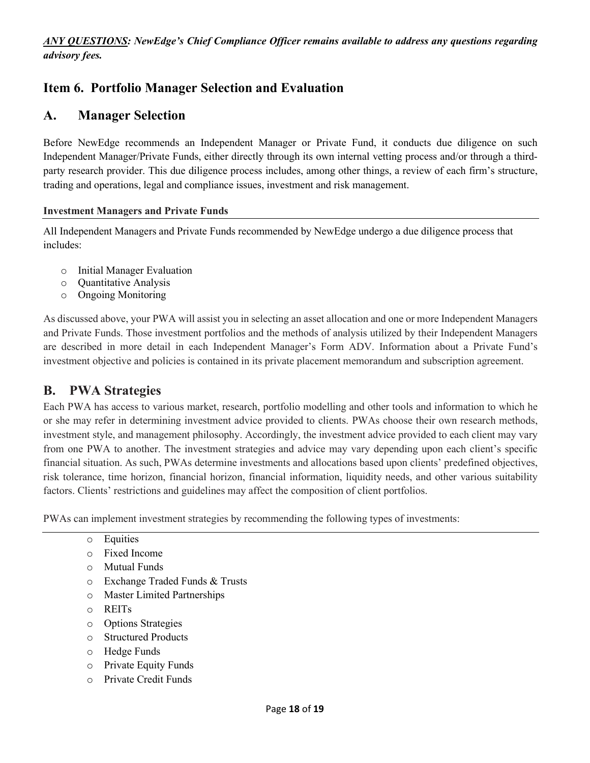*ANY QUESTIONS: NewEdge's Chief Compliance Officer remains available to address any questions regarding advisory fees.*

# <span id="page-17-0"></span>**Item 6. Portfolio Manager Selection and Evaluation**

# **A. Manager Selection**

Before NewEdge recommends an Independent Manager or Private Fund, it conducts due diligence on such Independent Manager/Private Funds, either directly through its own internal vetting process and/or through a thirdparty research provider. This due diligence process includes, among other things, a review of each firm's structure, trading and operations, legal and compliance issues, investment and risk management.

#### **Investment Managers and Private Funds**

All Independent Managers and Private Funds recommended by NewEdge undergo a due diligence process that includes:

- o Initial Manager Evaluation
- o Quantitative Analysis
- o Ongoing Monitoring

As discussed above, your PWA will assist you in selecting an asset allocation and one or more Independent Managers and Private Funds. Those investment portfolios and the methods of analysis utilized by their Independent Managers are described in more detail in each Independent Manager's Form ADV. Information about a Private Fund's investment objective and policies is contained in its private placement memorandum and subscription agreement.

# **B. PWA Strategies**

Each PWA has access to various market, research, portfolio modelling and other tools and information to which he or she may refer in determining investment advice provided to clients. PWAs choose their own research methods, investment style, and management philosophy. Accordingly, the investment advice provided to each client may vary from one PWA to another. The investment strategies and advice may vary depending upon each client's specific financial situation. As such, PWAs determine investments and allocations based upon clients' predefined objectives, risk tolerance, time horizon, financial horizon, financial information, liquidity needs, and other various suitability factors. Clients' restrictions and guidelines may affect the composition of client portfolios.

PWAs can implement investment strategies by recommending the following types of investments:

- o Equities
- o Fixed Income
- o Mutual Funds
- o Exchange Traded Funds & Trusts
- o Master Limited Partnerships
- o REITs
- o Options Strategies
- o Structured Products
- o Hedge Funds
- o Private Equity Funds
- o Private Credit Funds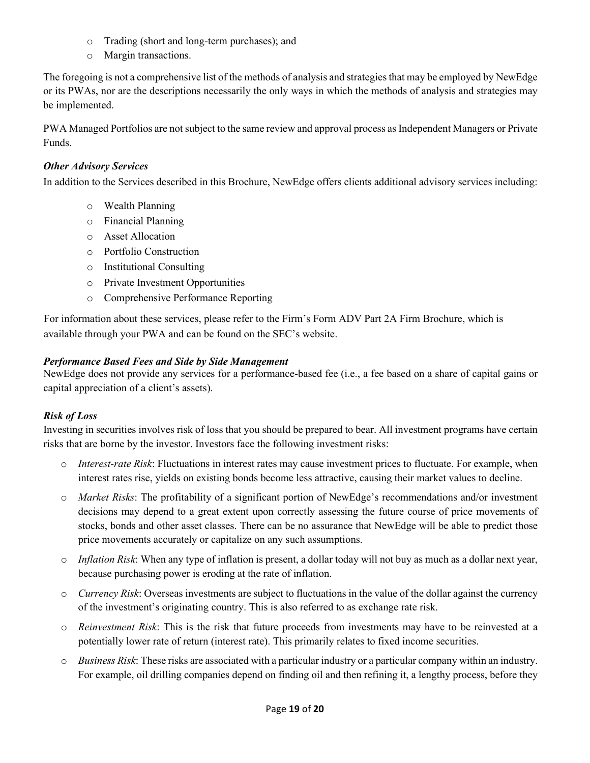- o Trading (short and long-term purchases); and
- o Margin transactions.

The foregoing is not a comprehensive list of the methods of analysis and strategies that may be employed by NewEdge or its PWAs, nor are the descriptions necessarily the only ways in which the methods of analysis and strategies may be implemented.

PWA Managed Portfolios are not subject to the same review and approval process as Independent Managers or Private Funds.

#### *Other Advisory Services*

In addition to the Services described in this Brochure, NewEdge offers clients additional advisory services including:

- o Wealth Planning
- o Financial Planning
- o Asset Allocation
- o Portfolio Construction
- o Institutional Consulting
- o Private Investment Opportunities
- o Comprehensive Performance Reporting

For information about these services, please refer to the Firm's Form ADV Part 2A Firm Brochure, which is available through your PWA and can be found on the SEC's website.

#### *Performance Based Fees and Side by Side Management*

NewEdge does not provide any services for a performance-based fee (i.e., a fee based on a share of capital gains or capital appreciation of a client's assets).

## *Risk of Loss*

Investing in securities involves risk of loss that you should be prepared to bear. All investment programs have certain risks that are borne by the investor. Investors face the following investment risks:

- o *Interest-rate Risk*: Fluctuations in interest rates may cause investment prices to fluctuate. For example, when interest rates rise, yields on existing bonds become less attractive, causing their market values to decline.
- o *Market Risks*: The profitability of a significant portion of NewEdge's recommendations and/or investment decisions may depend to a great extent upon correctly assessing the future course of price movements of stocks, bonds and other asset classes. There can be no assurance that NewEdge will be able to predict those price movements accurately or capitalize on any such assumptions.
- o *Inflation Risk*: When any type of inflation is present, a dollar today will not buy as much as a dollar next year, because purchasing power is eroding at the rate of inflation.
- o *Currency Risk*: Overseas investments are subject to fluctuations in the value of the dollar against the currency of the investment's originating country. This is also referred to as exchange rate risk.
- o *Reinvestment Risk*: This is the risk that future proceeds from investments may have to be reinvested at a potentially lower rate of return (interest rate). This primarily relates to fixed income securities.
- o *Business Risk*: These risks are associated with a particular industry or a particular company within an industry. For example, oil drilling companies depend on finding oil and then refining it, a lengthy process, before they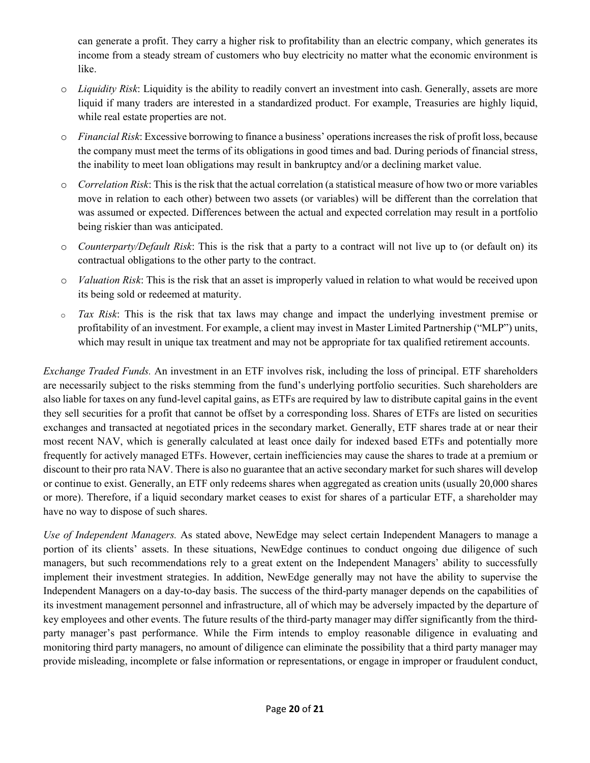can generate a profit. They carry a higher risk to profitability than an electric company, which generates its income from a steady stream of customers who buy electricity no matter what the economic environment is like.

- o *Liquidity Risk*: Liquidity is the ability to readily convert an investment into cash. Generally, assets are more liquid if many traders are interested in a standardized product. For example, Treasuries are highly liquid, while real estate properties are not.
- o *Financial Risk*: Excessive borrowing to finance a business' operations increases the risk of profit loss, because the company must meet the terms of its obligations in good times and bad. During periods of financial stress, the inability to meet loan obligations may result in bankruptcy and/or a declining market value.
- o *Correlation Risk*: This is the risk that the actual correlation (a statistical measure of how two or more variables move in relation to each other) between two assets (or variables) will be different than the correlation that was assumed or expected. Differences between the actual and expected correlation may result in a portfolio being riskier than was anticipated.
- o *Counterparty/Default Risk*: This is the risk that a party to a contract will not live up to (or default on) its contractual obligations to the other party to the contract.
- o *Valuation Risk*: This is the risk that an asset is improperly valued in relation to what would be received upon its being sold or redeemed at maturity.
- o *Tax Risk*: This is the risk that tax laws may change and impact the underlying investment premise or profitability of an investment. For example, a client may invest in Master Limited Partnership ("MLP") units, which may result in unique tax treatment and may not be appropriate for tax qualified retirement accounts.

*Exchange Traded Funds.* An investment in an ETF involves risk, including the loss of principal. ETF shareholders are necessarily subject to the risks stemming from the fund's underlying portfolio securities. Such shareholders are also liable for taxes on any fund-level capital gains, as ETFs are required by law to distribute capital gains in the event they sell securities for a profit that cannot be offset by a corresponding loss. Shares of ETFs are listed on securities exchanges and transacted at negotiated prices in the secondary market. Generally, ETF shares trade at or near their most recent NAV, which is generally calculated at least once daily for indexed based ETFs and potentially more frequently for actively managed ETFs. However, certain inefficiencies may cause the shares to trade at a premium or discount to their pro rata NAV. There is also no guarantee that an active secondary market for such shares will develop or continue to exist. Generally, an ETF only redeems shares when aggregated as creation units (usually 20,000 shares or more). Therefore, if a liquid secondary market ceases to exist for shares of a particular ETF, a shareholder may have no way to dispose of such shares.

*Use of Independent Managers.* As stated above, NewEdge may select certain Independent Managers to manage a portion of its clients' assets. In these situations, NewEdge continues to conduct ongoing due diligence of such managers, but such recommendations rely to a great extent on the Independent Managers' ability to successfully implement their investment strategies. In addition, NewEdge generally may not have the ability to supervise the Independent Managers on a day-to-day basis. The success of the third-party manager depends on the capabilities of its investment management personnel and infrastructure, all of which may be adversely impacted by the departure of key employees and other events. The future results of the third-party manager may differ significantly from the thirdparty manager's past performance. While the Firm intends to employ reasonable diligence in evaluating and monitoring third party managers, no amount of diligence can eliminate the possibility that a third party manager may provide misleading, incomplete or false information or representations, or engage in improper or fraudulent conduct,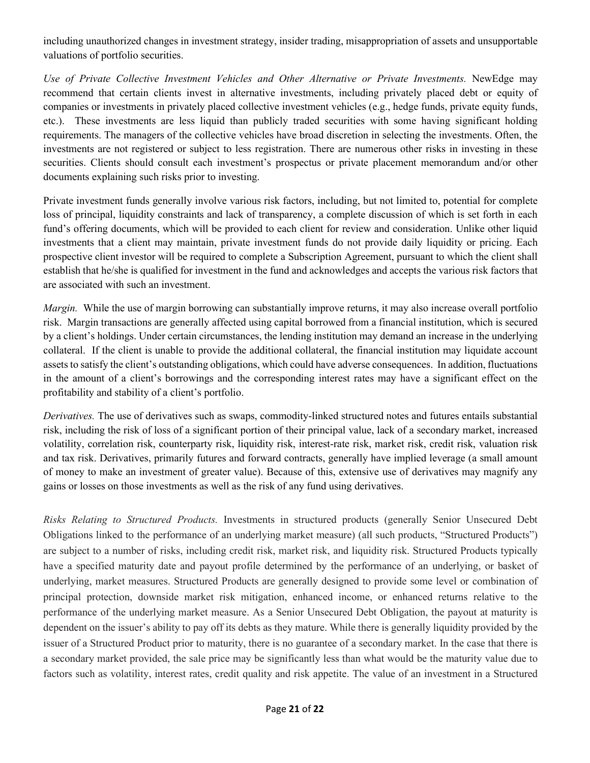including unauthorized changes in investment strategy, insider trading, misappropriation of assets and unsupportable valuations of portfolio securities.

*Use of Private Collective Investment Vehicles and Other Alternative or Private Investments.* NewEdge may recommend that certain clients invest in alternative investments, including privately placed debt or equity of companies or investments in privately placed collective investment vehicles (e.g., hedge funds, private equity funds, etc.). These investments are less liquid than publicly traded securities with some having significant holding requirements. The managers of the collective vehicles have broad discretion in selecting the investments. Often, the investments are not registered or subject to less registration. There are numerous other risks in investing in these securities. Clients should consult each investment's prospectus or private placement memorandum and/or other documents explaining such risks prior to investing.

Private investment funds generally involve various risk factors, including, but not limited to, potential for complete loss of principal, liquidity constraints and lack of transparency, a complete discussion of which is set forth in each fund's offering documents, which will be provided to each client for review and consideration. Unlike other liquid investments that a client may maintain, private investment funds do not provide daily liquidity or pricing. Each prospective client investor will be required to complete a Subscription Agreement, pursuant to which the client shall establish that he/she is qualified for investment in the fund and acknowledges and accepts the various risk factors that are associated with such an investment.

*Margin.* While the use of margin borrowing can substantially improve returns, it may also increase overall portfolio risk. Margin transactions are generally affected using capital borrowed from a financial institution, which is secured by a client's holdings. Under certain circumstances, the lending institution may demand an increase in the underlying collateral. If the client is unable to provide the additional collateral, the financial institution may liquidate account assets to satisfy the client's outstanding obligations, which could have adverse consequences. In addition, fluctuations in the amount of a client's borrowings and the corresponding interest rates may have a significant effect on the profitability and stability of a client's portfolio.

*Derivatives.* The use of derivatives such as swaps, commodity-linked structured notes and futures entails substantial risk, including the risk of loss of a significant portion of their principal value, lack of a secondary market, increased volatility, correlation risk, counterparty risk, liquidity risk, interest-rate risk, market risk, credit risk, valuation risk and tax risk. Derivatives, primarily futures and forward contracts, generally have implied leverage (a small amount of money to make an investment of greater value). Because of this, extensive use of derivatives may magnify any gains or losses on those investments as well as the risk of any fund using derivatives.

*Risks Relating to Structured Products.* Investments in structured products (generally Senior Unsecured Debt Obligations linked to the performance of an underlying market measure) (all such products, "Structured Products") are subject to a number of risks, including credit risk, market risk, and liquidity risk. Structured Products typically have a specified maturity date and payout profile determined by the performance of an underlying, or basket of underlying, market measures. Structured Products are generally designed to provide some level or combination of principal protection, downside market risk mitigation, enhanced income, or enhanced returns relative to the performance of the underlying market measure. As a Senior Unsecured Debt Obligation, the payout at maturity is dependent on the issuer's ability to pay off its debts as they mature. While there is generally liquidity provided by the issuer of a Structured Product prior to maturity, there is no guarantee of a secondary market. In the case that there is a secondary market provided, the sale price may be significantly less than what would be the maturity value due to factors such as volatility, interest rates, credit quality and risk appetite. The value of an investment in a Structured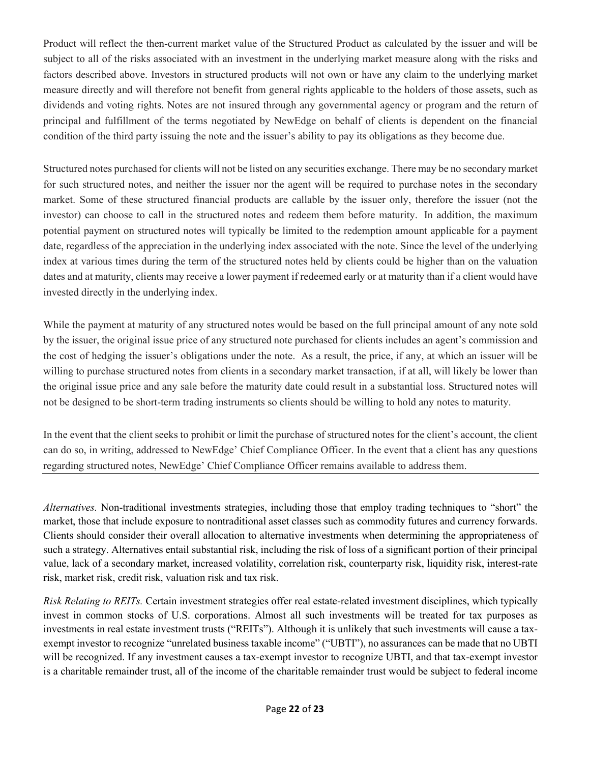Product will reflect the then-current market value of the Structured Product as calculated by the issuer and will be subject to all of the risks associated with an investment in the underlying market measure along with the risks and factors described above. Investors in structured products will not own or have any claim to the underlying market measure directly and will therefore not benefit from general rights applicable to the holders of those assets, such as dividends and voting rights. Notes are not insured through any governmental agency or program and the return of principal and fulfillment of the terms negotiated by NewEdge on behalf of clients is dependent on the financial condition of the third party issuing the note and the issuer's ability to pay its obligations as they become due.

Structured notes purchased for clients will not be listed on any securities exchange. There may be no secondary market for such structured notes, and neither the issuer nor the agent will be required to purchase notes in the secondary market. Some of these structured financial products are callable by the issuer only, therefore the issuer (not the investor) can choose to call in the structured notes and redeem them before maturity. In addition, the maximum potential payment on structured notes will typically be limited to the redemption amount applicable for a payment date, regardless of the appreciation in the underlying index associated with the note. Since the level of the underlying index at various times during the term of the structured notes held by clients could be higher than on the valuation dates and at maturity, clients may receive a lower payment if redeemed early or at maturity than if a client would have invested directly in the underlying index.

While the payment at maturity of any structured notes would be based on the full principal amount of any note sold by the issuer, the original issue price of any structured note purchased for clients includes an agent's commission and the cost of hedging the issuer's obligations under the note. As a result, the price, if any, at which an issuer will be willing to purchase structured notes from clients in a secondary market transaction, if at all, will likely be lower than the original issue price and any sale before the maturity date could result in a substantial loss. Structured notes will not be designed to be short-term trading instruments so clients should be willing to hold any notes to maturity.

In the event that the client seeks to prohibit or limit the purchase of structured notes for the client's account, the client can do so, in writing, addressed to NewEdge' Chief Compliance Officer. In the event that a client has any questions regarding structured notes, NewEdge' Chief Compliance Officer remains available to address them.

*Alternatives.* Non-traditional investments strategies, including those that employ trading techniques to "short" the market, those that include exposure to nontraditional asset classes such as commodity futures and currency forwards. Clients should consider their overall allocation to alternative investments when determining the appropriateness of such a strategy. Alternatives entail substantial risk, including the risk of loss of a significant portion of their principal value, lack of a secondary market, increased volatility, correlation risk, counterparty risk, liquidity risk, interest-rate risk, market risk, credit risk, valuation risk and tax risk.

*Risk Relating to REITs.* Certain investment strategies offer real estate-related investment disciplines, which typically invest in common stocks of U.S. corporations. Almost all such investments will be treated for tax purposes as investments in real estate investment trusts ("REITs"). Although it is unlikely that such investments will cause a taxexempt investor to recognize "unrelated business taxable income" ("UBTI"), no assurances can be made that no UBTI will be recognized. If any investment causes a tax-exempt investor to recognize UBTI, and that tax-exempt investor is a charitable remainder trust, all of the income of the charitable remainder trust would be subject to federal income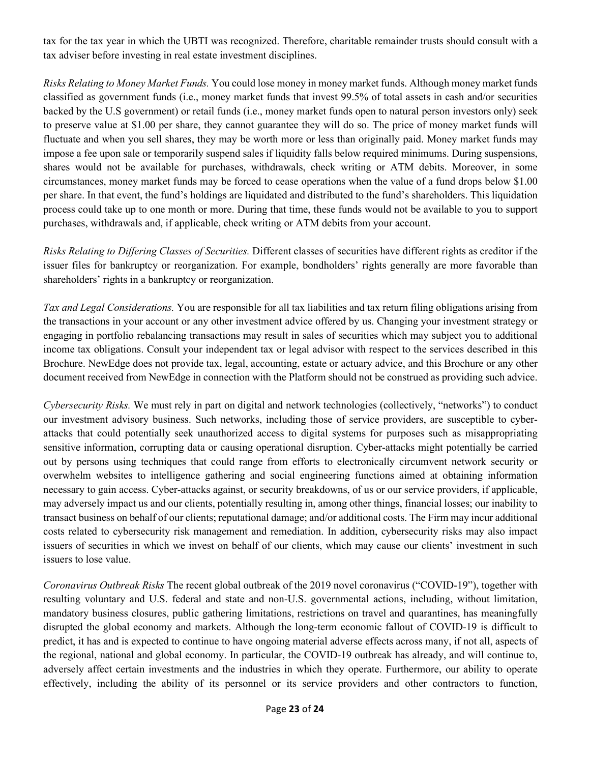tax for the tax year in which the UBTI was recognized. Therefore, charitable remainder trusts should consult with a tax adviser before investing in real estate investment disciplines.

*Risks Relating to Money Market Funds.* You could lose money in money market funds. Although money market funds classified as government funds (i.e., money market funds that invest 99.5% of total assets in cash and/or securities backed by the U.S government) or retail funds (i.e., money market funds open to natural person investors only) seek to preserve value at \$1.00 per share, they cannot guarantee they will do so. The price of money market funds will fluctuate and when you sell shares, they may be worth more or less than originally paid. Money market funds may impose a fee upon sale or temporarily suspend sales if liquidity falls below required minimums. During suspensions, shares would not be available for purchases, withdrawals, check writing or ATM debits. Moreover, in some circumstances, money market funds may be forced to cease operations when the value of a fund drops below \$1.00 per share. In that event, the fund's holdings are liquidated and distributed to the fund's shareholders. This liquidation process could take up to one month or more. During that time, these funds would not be available to you to support purchases, withdrawals and, if applicable, check writing or ATM debits from your account.

*Risks Relating to Differing Classes of Securities.* Different classes of securities have different rights as creditor if the issuer files for bankruptcy or reorganization. For example, bondholders' rights generally are more favorable than shareholders' rights in a bankruptcy or reorganization.

*Tax and Legal Considerations.* You are responsible for all tax liabilities and tax return filing obligations arising from the transactions in your account or any other investment advice offered by us. Changing your investment strategy or engaging in portfolio rebalancing transactions may result in sales of securities which may subject you to additional income tax obligations. Consult your independent tax or legal advisor with respect to the services described in this Brochure. NewEdge does not provide tax, legal, accounting, estate or actuary advice, and this Brochure or any other document received from NewEdge in connection with the Platform should not be construed as providing such advice.

*Cybersecurity Risks.* We must rely in part on digital and network technologies (collectively, "networks") to conduct our investment advisory business. Such networks, including those of service providers, are susceptible to cyberattacks that could potentially seek unauthorized access to digital systems for purposes such as misappropriating sensitive information, corrupting data or causing operational disruption. Cyber-attacks might potentially be carried out by persons using techniques that could range from efforts to electronically circumvent network security or overwhelm websites to intelligence gathering and social engineering functions aimed at obtaining information necessary to gain access. Cyber-attacks against, or security breakdowns, of us or our service providers, if applicable, may adversely impact us and our clients, potentially resulting in, among other things, financial losses; our inability to transact business on behalf of our clients; reputational damage; and/or additional costs. The Firm may incur additional costs related to cybersecurity risk management and remediation. In addition, cybersecurity risks may also impact issuers of securities in which we invest on behalf of our clients, which may cause our clients' investment in such issuers to lose value.

*Coronavirus Outbreak Risks* The recent global outbreak of the 2019 novel coronavirus ("COVID-19"), together with resulting voluntary and U.S. federal and state and non-U.S. governmental actions, including, without limitation, mandatory business closures, public gathering limitations, restrictions on travel and quarantines, has meaningfully disrupted the global economy and markets. Although the long-term economic fallout of COVID-19 is difficult to predict, it has and is expected to continue to have ongoing material adverse effects across many, if not all, aspects of the regional, national and global economy. In particular, the COVID-19 outbreak has already, and will continue to, adversely affect certain investments and the industries in which they operate. Furthermore, our ability to operate effectively, including the ability of its personnel or its service providers and other contractors to function,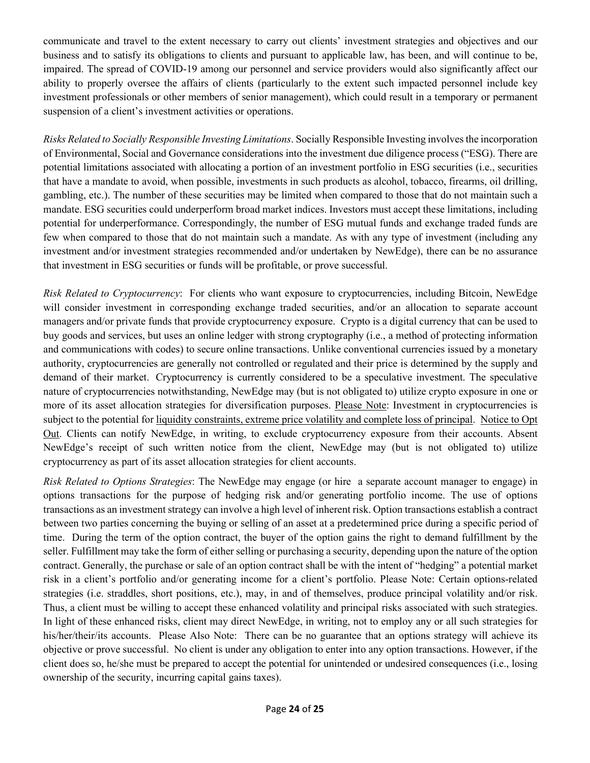communicate and travel to the extent necessary to carry out clients' investment strategies and objectives and our business and to satisfy its obligations to clients and pursuant to applicable law, has been, and will continue to be, impaired. The spread of COVID-19 among our personnel and service providers would also significantly affect our ability to properly oversee the affairs of clients (particularly to the extent such impacted personnel include key investment professionals or other members of senior management), which could result in a temporary or permanent suspension of a client's investment activities or operations.

*Risks Related to Socially Responsible Investing Limitations*. Socially Responsible Investing involves the incorporation of Environmental, Social and Governance considerations into the investment due diligence process ("ESG). There are potential limitations associated with allocating a portion of an investment portfolio in ESG securities (i.e., securities that have a mandate to avoid, when possible, investments in such products as alcohol, tobacco, firearms, oil drilling, gambling, etc.). The number of these securities may be limited when compared to those that do not maintain such a mandate. ESG securities could underperform broad market indices. Investors must accept these limitations, including potential for underperformance. Correspondingly, the number of ESG mutual funds and exchange traded funds are few when compared to those that do not maintain such a mandate. As with any type of investment (including any investment and/or investment strategies recommended and/or undertaken by NewEdge), there can be no assurance that investment in ESG securities or funds will be profitable, or prove successful.

*Risk Related to Cryptocurrency*: For clients who want exposure to cryptocurrencies, including Bitcoin, NewEdge will consider investment in corresponding exchange traded securities, and/or an allocation to separate account managers and/or private funds that provide cryptocurrency exposure. Crypto is a digital currency that can be used to buy goods and services, but uses an online ledger with strong cryptography (i.e., a method of protecting information and communications with codes) to secure online transactions. Unlike conventional currencies issued by a monetary authority, cryptocurrencies are generally not controlled or regulated and their price is determined by the supply and demand of their market. Cryptocurrency is currently considered to be a speculative investment. The speculative nature of cryptocurrencies notwithstanding, NewEdge may (but is not obligated to) utilize crypto exposure in one or more of its asset allocation strategies for diversification purposes. Please Note: Investment in cryptocurrencies is subject to the potential for liquidity constraints, extreme price volatility and complete loss of principal. Notice to Opt Out. Clients can notify NewEdge, in writing, to exclude cryptocurrency exposure from their accounts. Absent NewEdge's receipt of such written notice from the client, NewEdge may (but is not obligated to) utilize cryptocurrency as part of its asset allocation strategies for client accounts.

*Risk Related to Options Strategies*: The NewEdge may engage (or hire a separate account manager to engage) in options transactions for the purpose of hedging risk and/or generating portfolio income. The use of options transactions as an investment strategy can involve a high level of inherent risk. Option transactions establish a contract between two parties concerning the buying or selling of an asset at a predetermined price during a specific period of time. During the term of the option contract, the buyer of the option gains the right to demand fulfillment by the seller. Fulfillment may take the form of either selling or purchasing a security, depending upon the nature of the option contract. Generally, the purchase or sale of an option contract shall be with the intent of "hedging" a potential market risk in a client's portfolio and/or generating income for a client's portfolio. Please Note: Certain options-related strategies (i.e. straddles, short positions, etc.), may, in and of themselves, produce principal volatility and/or risk. Thus, a client must be willing to accept these enhanced volatility and principal risks associated with such strategies. In light of these enhanced risks, client may direct NewEdge, in writing, not to employ any or all such strategies for his/her/their/its accounts. Please Also Note: There can be no guarantee that an options strategy will achieve its objective or prove successful. No client is under any obligation to enter into any option transactions. However, if the client does so, he/she must be prepared to accept the potential for unintended or undesired consequences (i.e., losing ownership of the security, incurring capital gains taxes).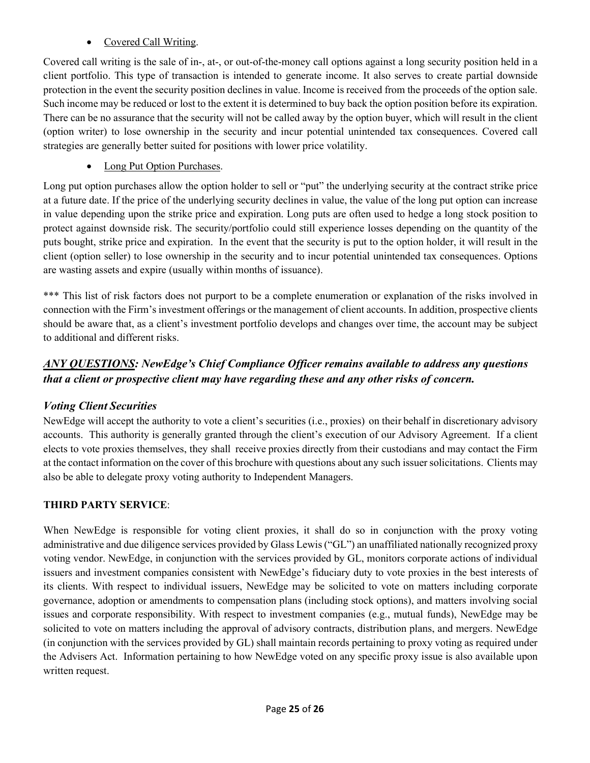# • Covered Call Writing.

Covered call writing is the sale of in-, at-, or out-of-the-money call options against a long security position held in a client portfolio. This type of transaction is intended to generate income. It also serves to create partial downside protection in the event the security position declines in value. Income is received from the proceeds of the option sale. Such income may be reduced or lost to the extent it is determined to buy back the option position before its expiration. There can be no assurance that the security will not be called away by the option buyer, which will result in the client (option writer) to lose ownership in the security and incur potential unintended tax consequences. Covered call strategies are generally better suited for positions with lower price volatility.

# Long Put Option Purchases.

Long put option purchases allow the option holder to sell or "put" the underlying security at the contract strike price at a future date. If the price of the underlying security declines in value, the value of the long put option can increase in value depending upon the strike price and expiration. Long puts are often used to hedge a long stock position to protect against downside risk. The security/portfolio could still experience losses depending on the quantity of the puts bought, strike price and expiration. In the event that the security is put to the option holder, it will result in the client (option seller) to lose ownership in the security and to incur potential unintended tax consequences. Options are wasting assets and expire (usually within months of issuance).

\*\*\* This list of risk factors does not purport to be a complete enumeration or explanation of the risks involved in connection with the Firm's investment offerings or the management of client accounts. In addition, prospective clients should be aware that, as a client's investment portfolio develops and changes over time, the account may be subject to additional and different risks.

# *ANY QUESTIONS: NewEdge's Chief Compliance Officer remains available to address any questions that a client or prospective client may have regarding these and any other risks of concern.*

# *Voting Client Securities*

NewEdge will accept the authority to vote a client's securities (i.e., proxies) on their behalf in discretionary advisory accounts. This authority is generally granted through the client's execution of our Advisory Agreement. If a client elects to vote proxies themselves, they shall receive proxies directly from their custodians and may contact the Firm at the contact information on the cover of this brochure with questions about any such issuersolicitations. Clients may also be able to delegate proxy voting authority to Independent Managers.

# **THIRD PARTY SERVICE**:

When NewEdge is responsible for voting client proxies, it shall do so in conjunction with the proxy voting administrative and due diligence services provided by Glass Lewis ("GL") an unaffiliated nationally recognized proxy voting vendor. NewEdge, in conjunction with the services provided by GL, monitors corporate actions of individual issuers and investment companies consistent with NewEdge's fiduciary duty to vote proxies in the best interests of its clients. With respect to individual issuers, NewEdge may be solicited to vote on matters including corporate governance, adoption or amendments to compensation plans (including stock options), and matters involving social issues and corporate responsibility. With respect to investment companies (e.g., mutual funds), NewEdge may be solicited to vote on matters including the approval of advisory contracts, distribution plans, and mergers. NewEdge (in conjunction with the services provided by GL) shall maintain records pertaining to proxy voting as required under the Advisers Act. Information pertaining to how NewEdge voted on any specific proxy issue is also available upon written request.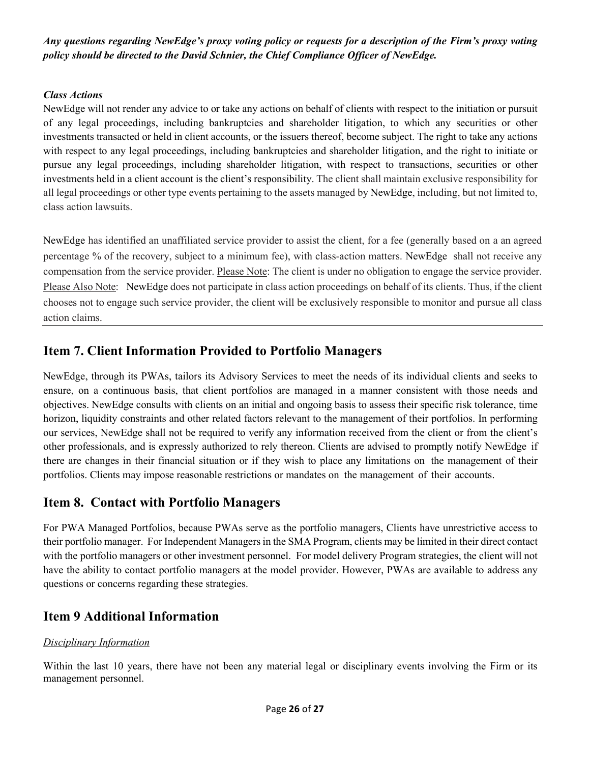*Any questions regarding NewEdge's proxy voting policy or requests for a description of the Firm's proxy voting policy should be directed to the David Schnier, the Chief Compliance Officer of NewEdge.*

## *Class Actions*

NewEdge will not render any advice to or take any actions on behalf of clients with respect to the initiation or pursuit of any legal proceedings, including bankruptcies and shareholder litigation, to which any securities or other investments transacted or held in client accounts, or the issuers thereof, become subject. The right to take any actions with respect to any legal proceedings, including bankruptcies and shareholder litigation, and the right to initiate or pursue any legal proceedings, including shareholder litigation, with respect to transactions, securities or other investments held in a client account is the client's responsibility. The client shall maintain exclusive responsibility for all legal proceedings or other type events pertaining to the assets managed by NewEdge, including, but not limited to, class action lawsuits.

NewEdge has identified an unaffiliated service provider to assist the client, for a fee (generally based on a an agreed percentage % of the recovery, subject to a minimum fee), with class-action matters. NewEdge shall not receive any compensation from the service provider. Please Note: The client is under no obligation to engage the service provider. Please Also Note: NewEdge does not participate in class action proceedings on behalf of its clients. Thus, if the client chooses not to engage such service provider, the client will be exclusively responsible to monitor and pursue all class action claims.

# <span id="page-25-0"></span>**Item 7. Client Information Provided to Portfolio Managers**

NewEdge, through its PWAs, tailors its Advisory Services to meet the needs of its individual clients and seeks to ensure, on a continuous basis, that client portfolios are managed in a manner consistent with those needs and objectives. NewEdge consults with clients on an initial and ongoing basis to assess their specific risk tolerance, time horizon, liquidity constraints and other related factors relevant to the management of their portfolios. In performing our services, NewEdge shall not be required to verify any information received from the client or from the client's other professionals, and is expressly authorized to rely thereon. Clients are advised to promptly notify NewEdge if there are changes in their financial situation or if they wish to place any limitations on the management of their portfolios. Clients may impose reasonable restrictions or mandates on the management of their accounts.

# <span id="page-25-1"></span>**Item 8. Contact with Portfolio Managers**

For PWA Managed Portfolios, because PWAs serve as the portfolio managers, Clients have unrestrictive access to their portfolio manager. For Independent Managersin the SMA Program, clients may be limited in their direct contact with the portfolio managers or other investment personnel. For model delivery Program strategies, the client will not have the ability to contact portfolio managers at the model provider. However, PWAs are available to address any questions or concerns regarding these strategies.

# <span id="page-25-2"></span>**Item 9 Additional Information**

## *Disciplinary Information*

Within the last 10 years, there have not been any material legal or disciplinary events involving the Firm or its management personnel.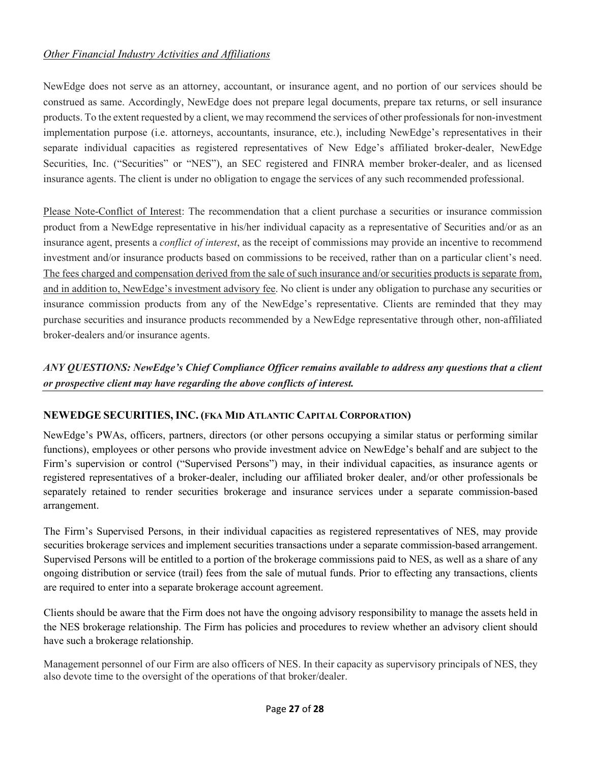## *Other Financial Industry Activities and Affiliations*

NewEdge does not serve as an attorney, accountant, or insurance agent, and no portion of our services should be construed as same. Accordingly, NewEdge does not prepare legal documents, prepare tax returns, or sell insurance products. To the extent requested by a client, we may recommend the services of other professionals for non-investment implementation purpose (i.e. attorneys, accountants, insurance, etc.), including NewEdge's representatives in their separate individual capacities as registered representatives of New Edge's affiliated broker-dealer, NewEdge Securities, Inc. ("Securities" or "NES"), an SEC registered and FINRA member broker-dealer, and as licensed insurance agents. The client is under no obligation to engage the services of any such recommended professional.

Please Note-Conflict of Interest: The recommendation that a client purchase a securities or insurance commission product from a NewEdge representative in his/her individual capacity as a representative of Securities and/or as an insurance agent, presents a *conflict of interest*, as the receipt of commissions may provide an incentive to recommend investment and/or insurance products based on commissions to be received, rather than on a particular client's need. The fees charged and compensation derived from the sale of such insurance and/or securities products is separate from, and in addition to, NewEdge's investment advisory fee. No client is under any obligation to purchase any securities or insurance commission products from any of the NewEdge's representative. Clients are reminded that they may purchase securities and insurance products recommended by a NewEdge representative through other, non-affiliated broker-dealers and/or insurance agents.

*ANY QUESTIONS: NewEdge's Chief Compliance Officer remains available to address any questions that a client or prospective client may have regarding the above conflicts of interest.*

## **NEWEDGE SECURITIES, INC. (FKA MID ATLANTIC CAPITAL CORPORATION)**

NewEdge's PWAs, officers, partners, directors (or other persons occupying a similar status or performing similar functions), employees or other persons who provide investment advice on NewEdge's behalf and are subject to the Firm's supervision or control ("Supervised Persons") may, in their individual capacities, as insurance agents or registered representatives of a broker-dealer, including our affiliated broker dealer, and/or other professionals be separately retained to render securities brokerage and insurance services under a separate commission-based arrangement.

The Firm's Supervised Persons, in their individual capacities as registered representatives of NES, may provide securities brokerage services and implement securities transactions under a separate commission-based arrangement. Supervised Persons will be entitled to a portion of the brokerage commissions paid to NES, as well as a share of any ongoing distribution or service (trail) fees from the sale of mutual funds. Prior to effecting any transactions, clients are required to enter into a separate brokerage account agreement.

Clients should be aware that the Firm does not have the ongoing advisory responsibility to manage the assets held in the NES brokerage relationship. The Firm has policies and procedures to review whether an advisory client should have such a brokerage relationship.

Management personnel of our Firm are also officers of NES. In their capacity as supervisory principals of NES, they also devote time to the oversight of the operations of that broker/dealer.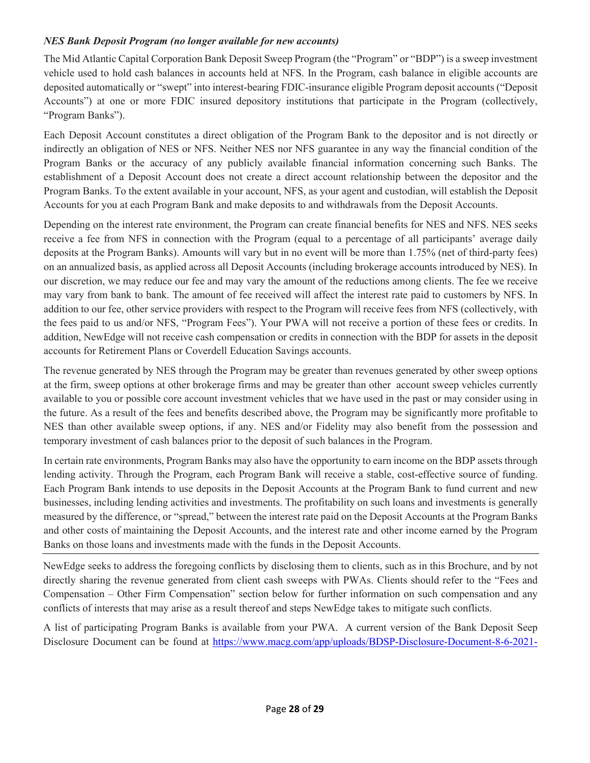#### *NES Bank Deposit Program (no longer available for new accounts)*

The Mid Atlantic Capital Corporation Bank Deposit Sweep Program (the "Program" or "BDP") is a sweep investment vehicle used to hold cash balances in accounts held at NFS. In the Program, cash balance in eligible accounts are deposited automatically or "swept" into interest-bearing FDIC-insurance eligible Program deposit accounts ("Deposit Accounts") at one or more FDIC insured depository institutions that participate in the Program (collectively, "Program Banks").

Each Deposit Account constitutes a direct obligation of the Program Bank to the depositor and is not directly or indirectly an obligation of NES or NFS. Neither NES nor NFS guarantee in any way the financial condition of the Program Banks or the accuracy of any publicly available financial information concerning such Banks. The establishment of a Deposit Account does not create a direct account relationship between the depositor and the Program Banks. To the extent available in your account, NFS, as your agent and custodian, will establish the Deposit Accounts for you at each Program Bank and make deposits to and withdrawals from the Deposit Accounts.

Depending on the interest rate environment, the Program can create financial benefits for NES and NFS. NES seeks receive a fee from NFS in connection with the Program (equal to a percentage of all participants' average daily deposits at the Program Banks). Amounts will vary but in no event will be more than 1.75% (net of third-party fees) on an annualized basis, as applied across all Deposit Accounts (including brokerage accounts introduced by NES). In our discretion, we may reduce our fee and may vary the amount of the reductions among clients. The fee we receive may vary from bank to bank. The amount of fee received will affect the interest rate paid to customers by NFS. In addition to our fee, other service providers with respect to the Program will receive fees from NFS (collectively, with the fees paid to us and/or NFS, "Program Fees"). Your PWA will not receive a portion of these fees or credits. In addition, NewEdge will not receive cash compensation or credits in connection with the BDP for assets in the deposit accounts for Retirement Plans or Coverdell Education Savings accounts.

The revenue generated by NES through the Program may be greater than revenues generated by other sweep options at the firm, sweep options at other brokerage firms and may be greater than other account sweep vehicles currently available to you or possible core account investment vehicles that we have used in the past or may consider using in the future. As a result of the fees and benefits described above, the Program may be significantly more profitable to NES than other available sweep options, if any. NES and/or Fidelity may also benefit from the possession and temporary investment of cash balances prior to the deposit of such balances in the Program.

In certain rate environments, Program Banks may also have the opportunity to earn income on the BDP assets through lending activity. Through the Program, each Program Bank will receive a stable, cost-effective source of funding. Each Program Bank intends to use deposits in the Deposit Accounts at the Program Bank to fund current and new businesses, including lending activities and investments. The profitability on such loans and investments is generally measured by the difference, or "spread," between the interest rate paid on the Deposit Accounts at the Program Banks and other costs of maintaining the Deposit Accounts, and the interest rate and other income earned by the Program Banks on those loans and investments made with the funds in the Deposit Accounts.

NewEdge seeks to address the foregoing conflicts by disclosing them to clients, such as in this Brochure, and by not directly sharing the revenue generated from client cash sweeps with PWAs. Clients should refer to the "Fees and Compensation – Other Firm Compensation" section below for further information on such compensation and any conflicts of interests that may arise as a result thereof and steps NewEdge takes to mitigate such conflicts.

A list of participating Program Banks is available from your PWA. A current version of the Bank Deposit Seep Disclosure Document can be found at [https://www.macg.com/app/uploads/BDSP-Disclosure-Document-8-6-2021-](https://www.macg.com/app/uploads/BDSP-Disclosure-Document-8-6-2021-Clean.pdf)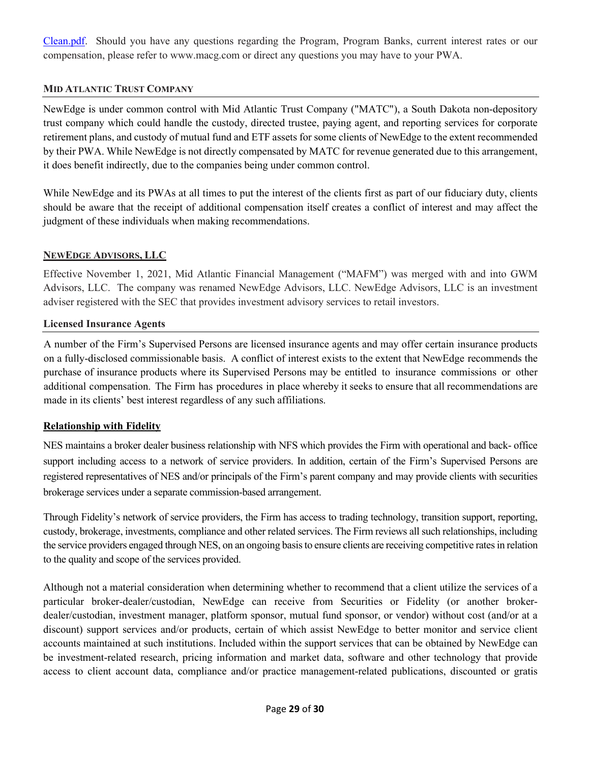[Clean.pdf.](https://www.macg.com/app/uploads/BDSP-Disclosure-Document-8-6-2021-Clean.pdf) Should you have any questions regarding the Program, Program Banks, current interest rates or our compensation, please refer to www.macg.com or direct any questions you may have to your PWA.

#### **MID ATLANTIC TRUST COMPANY**

NewEdge is under common control with Mid Atlantic Trust Company ("MATC"), a South Dakota non-depository trust company which could handle the custody, directed trustee, paying agent, and reporting services for corporate retirement plans, and custody of mutual fund and ETF assets for some clients of NewEdge to the extent recommended by their PWA. While NewEdge is not directly compensated by MATC for revenue generated due to this arrangement, it does benefit indirectly, due to the companies being under common control.

While NewEdge and its PWAs at all times to put the interest of the clients first as part of our fiduciary duty, clients should be aware that the receipt of additional compensation itself creates a conflict of interest and may affect the judgment of these individuals when making recommendations.

#### **NEWEDGE ADVISORS, LLC**

Effective November 1, 2021, Mid Atlantic Financial Management ("MAFM") was merged with and into GWM Advisors, LLC. The company was renamed NewEdge Advisors, LLC. NewEdge Advisors, LLC is an investment adviser registered with the SEC that provides investment advisory services to retail investors.

#### **Licensed Insurance Agents**

A number of the Firm's Supervised Persons are licensed insurance agents and may offer certain insurance products on a fully-disclosed commissionable basis. A conflict of interest exists to the extent that NewEdge recommends the purchase of insurance products where its Supervised Persons may be entitled to insurance commissions or other additional compensation. The Firm has procedures in place whereby it seeks to ensure that all recommendations are made in its clients' best interest regardless of any such affiliations.

#### **Relationship with Fidelity**

NES maintains a broker dealer business relationship with NFS which provides the Firm with operational and back- office support including access to a network of service providers. In addition, certain of the Firm's Supervised Persons are registered representatives of NES and/or principals of the Firm's parent company and may provide clients with securities brokerage services under a separate commission-based arrangement.

Through Fidelity's network of service providers, the Firm has access to trading technology, transition support, reporting, custody, brokerage, investments, compliance and other related services. The Firm reviews all such relationships, including the service providers engaged through NES, on an ongoing basis to ensure clients are receiving competitive rates in relation to the quality and scope of the services provided.

Although not a material consideration when determining whether to recommend that a client utilize the services of a particular broker-dealer/custodian, NewEdge can receive from Securities or Fidelity (or another brokerdealer/custodian, investment manager, platform sponsor, mutual fund sponsor, or vendor) without cost (and/or at a discount) support services and/or products, certain of which assist NewEdge to better monitor and service client accounts maintained at such institutions. Included within the support services that can be obtained by NewEdge can be investment-related research, pricing information and market data, software and other technology that provide access to client account data, compliance and/or practice management-related publications, discounted or gratis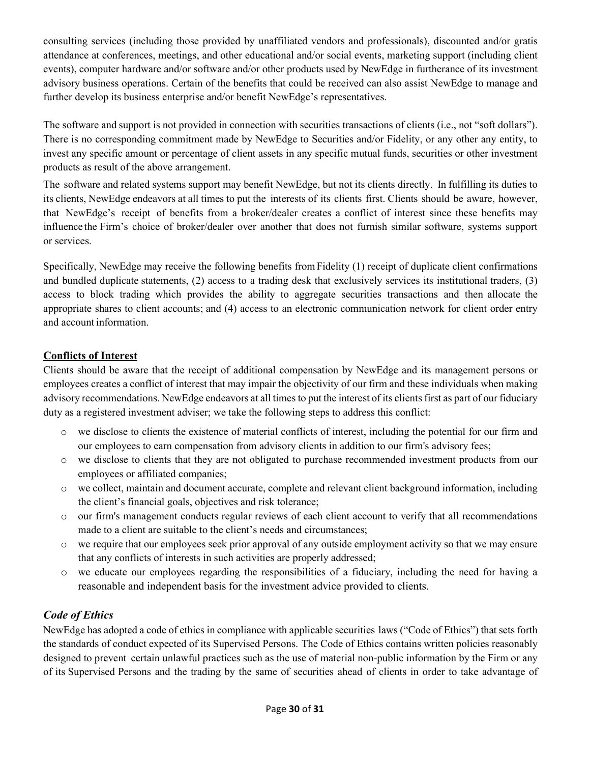consulting services (including those provided by unaffiliated vendors and professionals), discounted and/or gratis attendance at conferences, meetings, and other educational and/or social events, marketing support (including client events), computer hardware and/or software and/or other products used by NewEdge in furtherance of its investment advisory business operations. Certain of the benefits that could be received can also assist NewEdge to manage and further develop its business enterprise and/or benefit NewEdge's representatives.

The software and support is not provided in connection with securities transactions of clients (i.e., not "soft dollars"). There is no corresponding commitment made by NewEdge to Securities and/or Fidelity, or any other any entity, to invest any specific amount or percentage of client assets in any specific mutual funds, securities or other investment products as result of the above arrangement.

The software and related systems support may benefit NewEdge, but not its clients directly. In fulfilling its duties to its clients, NewEdge endeavors at all times to put the interests of its clients first. Clients should be aware, however, that NewEdge's receipt of benefits from a broker/dealer creates a conflict of interest since these benefits may influence the Firm's choice of broker/dealer over another that does not furnish similar software, systems support or services.

Specifically, NewEdge may receive the following benefits from Fidelity (1) receipt of duplicate client confirmations and bundled duplicate statements, (2) access to a trading desk that exclusively services its institutional traders, (3) access to block trading which provides the ability to aggregate securities transactions and then allocate the appropriate shares to client accounts; and (4) access to an electronic communication network for client order entry and account information.

## **Conflicts of Interest**

Clients should be aware that the receipt of additional compensation by NewEdge and its management persons or employees creates a conflict of interest that may impair the objectivity of our firm and these individuals when making advisory recommendations. NewEdge endeavors at all times to put the interest of its clients first as part of our fiduciary duty as a registered investment adviser; we take the following steps to address this conflict:

- o we disclose to clients the existence of material conflicts of interest, including the potential for our firm and our employees to earn compensation from advisory clients in addition to our firm's advisory fees;
- o we disclose to clients that they are not obligated to purchase recommended investment products from our employees or affiliated companies;
- o we collect, maintain and document accurate, complete and relevant client background information, including the client's financial goals, objectives and risk tolerance;
- o our firm's management conducts regular reviews of each client account to verify that all recommendations made to a client are suitable to the client's needs and circumstances;
- o we require that our employees seek prior approval of any outside employment activity so that we may ensure that any conflicts of interests in such activities are properly addressed;
- o we educate our employees regarding the responsibilities of a fiduciary, including the need for having a reasonable and independent basis for the investment advice provided to clients.

# *Code of Ethics*

NewEdge has adopted a code of ethics in compliance with applicable securities laws ("Code of Ethics") that sets forth the standards of conduct expected of its Supervised Persons. The Code of Ethics contains written policies reasonably designed to prevent certain unlawful practices such as the use of material non-public information by the Firm or any of its Supervised Persons and the trading by the same of securities ahead of clients in order to take advantage of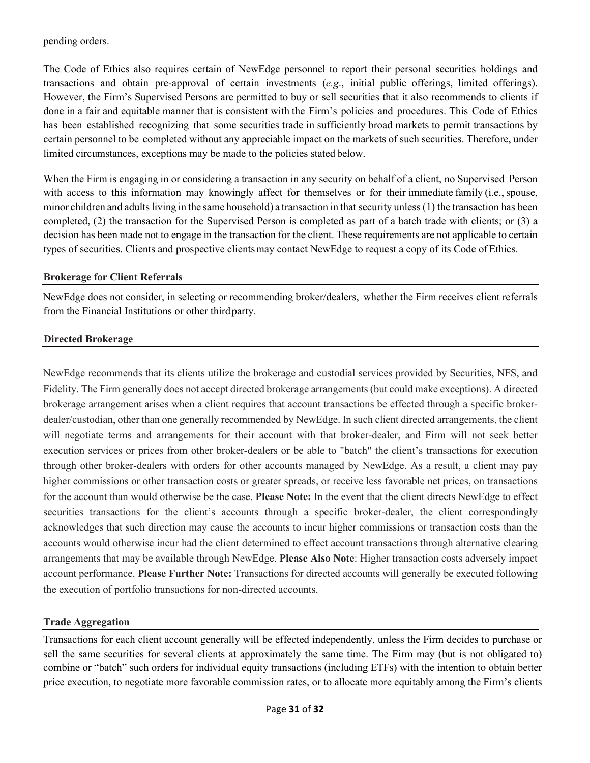pending orders.

The Code of Ethics also requires certain of NewEdge personnel to report their personal securities holdings and transactions and obtain pre-approval of certain investments (*e.g*., initial public offerings, limited offerings). However, the Firm's Supervised Persons are permitted to buy or sell securities that it also recommends to clients if done in a fair and equitable manner that is consistent with the Firm's policies and procedures. This Code of Ethics has been established recognizing that some securities trade in sufficiently broad markets to permit transactions by certain personnel to be completed without any appreciable impact on the markets of such securities. Therefore, under limited circumstances, exceptions may be made to the policies stated below.

When the Firm is engaging in or considering a transaction in any security on behalf of a client, no Supervised Person with access to this information may knowingly affect for themselves or for their immediate family (i.e., spouse, minor children and adults living in the same household) a transaction in that security unless (1) the transaction has been completed, (2) the transaction for the Supervised Person is completed as part of a batch trade with clients; or (3) a decision has been made not to engage in the transaction for the client. These requirements are not applicable to certain types of securities. Clients and prospective clientsmay contact NewEdge to request a copy of its Code of Ethics.

#### **Brokerage for Client Referrals**

NewEdge does not consider, in selecting or recommending broker/dealers, whether the Firm receives client referrals from the Financial Institutions or other thirdparty.

#### **Directed Brokerage**

NewEdge recommends that its clients utilize the brokerage and custodial services provided by Securities, NFS, and Fidelity. The Firm generally does not accept directed brokerage arrangements (but could make exceptions). A directed brokerage arrangement arises when a client requires that account transactions be effected through a specific brokerdealer/custodian, other than one generally recommended by NewEdge. In such client directed arrangements, the client will negotiate terms and arrangements for their account with that broker-dealer, and Firm will not seek better execution services or prices from other broker-dealers or be able to "batch" the client's transactions for execution through other broker-dealers with orders for other accounts managed by NewEdge. As a result, a client may pay higher commissions or other transaction costs or greater spreads, or receive less favorable net prices, on transactions for the account than would otherwise be the case. **Please Note:** In the event that the client directs NewEdge to effect securities transactions for the client's accounts through a specific broker-dealer, the client correspondingly acknowledges that such direction may cause the accounts to incur higher commissions or transaction costs than the accounts would otherwise incur had the client determined to effect account transactions through alternative clearing arrangements that may be available through NewEdge. **Please Also Note**: Higher transaction costs adversely impact account performance. **Please Further Note:** Transactions for directed accounts will generally be executed following the execution of portfolio transactions for non-directed accounts.

## **Trade Aggregation**

Transactions for each client account generally will be effected independently, unless the Firm decides to purchase or sell the same securities for several clients at approximately the same time. The Firm may (but is not obligated to) combine or "batch" such orders for individual equity transactions (including ETFs) with the intention to obtain better price execution, to negotiate more favorable commission rates, or to allocate more equitably among the Firm's clients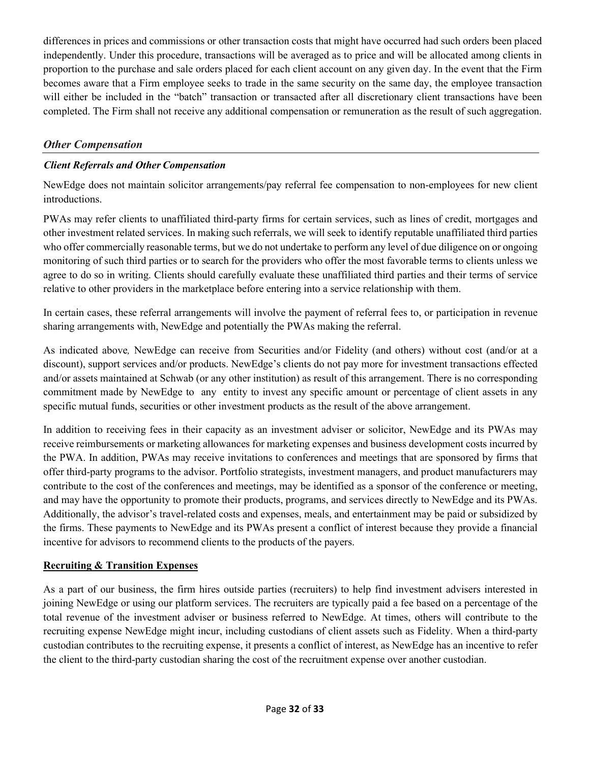differences in prices and commissions or other transaction costs that might have occurred had such orders been placed independently. Under this procedure, transactions will be averaged as to price and will be allocated among clients in proportion to the purchase and sale orders placed for each client account on any given day. In the event that the Firm becomes aware that a Firm employee seeks to trade in the same security on the same day, the employee transaction will either be included in the "batch" transaction or transacted after all discretionary client transactions have been completed. The Firm shall not receive any additional compensation or remuneration as the result of such aggregation.

# *Other Compensation*

# *Client Referrals and Other Compensation*

NewEdge does not maintain solicitor arrangements/pay referral fee compensation to non-employees for new client introductions.

PWAs may refer clients to unaffiliated third-party firms for certain services, such as lines of credit, mortgages and other investment related services. In making such referrals, we will seek to identify reputable unaffiliated third parties who offer commercially reasonable terms, but we do not undertake to perform any level of due diligence on or ongoing monitoring of such third parties or to search for the providers who offer the most favorable terms to clients unless we agree to do so in writing. Clients should carefully evaluate these unaffiliated third parties and their terms of service relative to other providers in the marketplace before entering into a service relationship with them.

In certain cases, these referral arrangements will involve the payment of referral fees to, or participation in revenue sharing arrangements with, NewEdge and potentially the PWAs making the referral.

As indicated above*,* NewEdge can receive from Securities and/or Fidelity (and others) without cost (and/or at a discount), support services and/or products. NewEdge's clients do not pay more for investment transactions effected and/or assets maintained at Schwab (or any other institution) as result of this arrangement. There is no corresponding commitment made by NewEdge to any entity to invest any specific amount or percentage of client assets in any specific mutual funds, securities or other investment products as the result of the above arrangement.

In addition to receiving fees in their capacity as an investment adviser or solicitor, NewEdge and its PWAs may receive reimbursements or marketing allowances for marketing expenses and business development costs incurred by the PWA. In addition, PWAs may receive invitations to conferences and meetings that are sponsored by firms that offer third-party programs to the advisor. Portfolio strategists, investment managers, and product manufacturers may contribute to the cost of the conferences and meetings, may be identified as a sponsor of the conference or meeting, and may have the opportunity to promote their products, programs, and services directly to NewEdge and its PWAs. Additionally, the advisor's travel-related costs and expenses, meals, and entertainment may be paid or subsidized by the firms. These payments to NewEdge and its PWAs present a conflict of interest because they provide a financial incentive for advisors to recommend clients to the products of the payers.

## **Recruiting & Transition Expenses**

As a part of our business, the firm hires outside parties (recruiters) to help find investment advisers interested in joining NewEdge or using our platform services. The recruiters are typically paid a fee based on a percentage of the total revenue of the investment adviser or business referred to NewEdge. At times, others will contribute to the recruiting expense NewEdge might incur, including custodians of client assets such as Fidelity. When a third-party custodian contributes to the recruiting expense, it presents a conflict of interest, as NewEdge has an incentive to refer the client to the third-party custodian sharing the cost of the recruitment expense over another custodian.